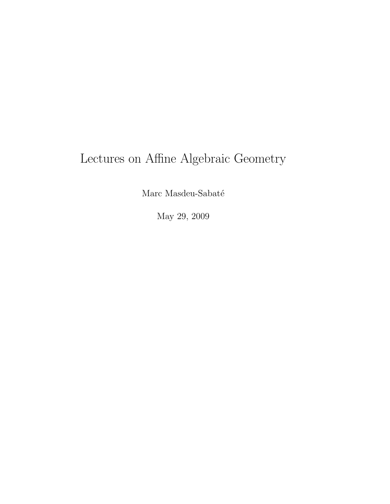## Lectures on Affine Algebraic Geometry

 $\rm Marc$ Masdeu-Sabaté

May 29, 2009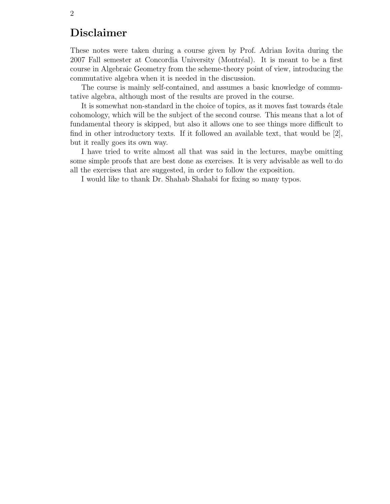## Disclaimer

These notes were taken during a course given by Prof. Adrian Iovita during the 2007 Fall semester at Concordia University (Montréal). It is meant to be a first course in Algebraic Geometry from the scheme-theory point of view, introducing the commutative algebra when it is needed in the discussion.

The course is mainly self-contained, and assumes a basic knowledge of commutative algebra, although most of the results are proved in the course.

It is somewhat non-standard in the choice of topics, as it moves fast towards  $\acute{e}$ tale cohomology, which will be the subject of the second course. This means that a lot of fundamental theory is skipped, but also it allows one to see things more difficult to find in other introductory texts. If it followed an available text, that would be  $[2]$ , but it really goes its own way.

I have tried to write almost all that was said in the lectures, maybe omitting some simple proofs that are best done as exercises. It is very advisable as well to do all the exercises that are suggested, in order to follow the exposition.

I would like to thank Dr. Shahab Shahabi for fixing so many typos.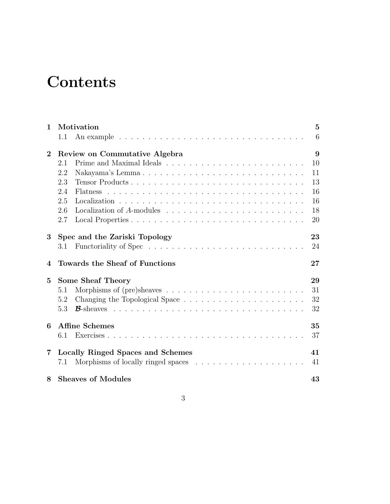# **Contents**

| $\mathbf{1}$               | Motivation<br>$\bf{5}$                   |                                                                                     |    |  |  |  |  |
|----------------------------|------------------------------------------|-------------------------------------------------------------------------------------|----|--|--|--|--|
|                            | 1.1                                      |                                                                                     | 6  |  |  |  |  |
| $\mathbf{2}$               | Review on Commutative Algebra            |                                                                                     |    |  |  |  |  |
|                            | 2.1                                      |                                                                                     | 10 |  |  |  |  |
|                            | 2.2                                      |                                                                                     | 11 |  |  |  |  |
|                            | 2.3                                      | Tensor Products                                                                     | 13 |  |  |  |  |
|                            | 2.4                                      |                                                                                     | 16 |  |  |  |  |
|                            | 2.5                                      |                                                                                     | 16 |  |  |  |  |
|                            | 2.6                                      | Localization of A-modules $\ldots \ldots \ldots \ldots \ldots \ldots \ldots \ldots$ | 18 |  |  |  |  |
|                            | 2.7                                      | Local Properties                                                                    | 20 |  |  |  |  |
| 3                          | Spec and the Zariski Topology            |                                                                                     |    |  |  |  |  |
|                            | 3.1                                      | Functoriality of Spec                                                               | 24 |  |  |  |  |
| $\boldsymbol{\mathcal{A}}$ |                                          | <b>Towards the Sheaf of Functions</b>                                               | 27 |  |  |  |  |
| $\overline{5}$             | <b>Some Sheaf Theory</b>                 |                                                                                     |    |  |  |  |  |
|                            | 5.1                                      |                                                                                     | 31 |  |  |  |  |
|                            | 5.2                                      |                                                                                     | 32 |  |  |  |  |
|                            | 5.3                                      |                                                                                     | 32 |  |  |  |  |
| 6                          | <b>Affine Schemes</b>                    |                                                                                     |    |  |  |  |  |
|                            | 6.1                                      |                                                                                     | 37 |  |  |  |  |
| $\overline{7}$             | <b>Locally Ringed Spaces and Schemes</b> |                                                                                     |    |  |  |  |  |
|                            | 7.1                                      |                                                                                     | 41 |  |  |  |  |
| 8                          |                                          | <b>Sheaves of Modules</b>                                                           | 43 |  |  |  |  |

3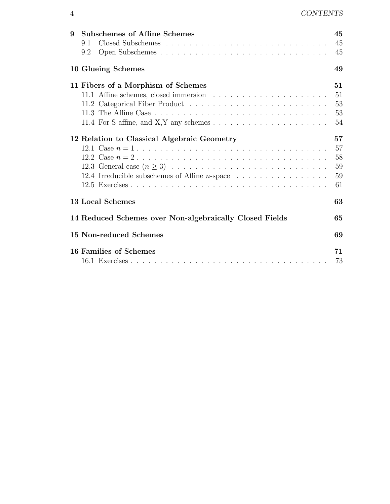| 9 | <b>Subschemes of Affine Schemes</b><br>9.1<br>9.2                                                                                | 45<br>45<br>45                   |  |  |  |  |  |  |  |  |
|---|----------------------------------------------------------------------------------------------------------------------------------|----------------------------------|--|--|--|--|--|--|--|--|
|   | 10 Glueing Schemes                                                                                                               |                                  |  |  |  |  |  |  |  |  |
|   | 11 Fibers of a Morphism of Schemes<br>11.4 For S affine, and X, Y any schemes $\ldots \ldots \ldots \ldots \ldots \ldots \ldots$ | 51<br>51<br>53<br>53<br>54       |  |  |  |  |  |  |  |  |
|   | 12 Relation to Classical Algebraic Geometry<br>12.4 Irreducible subschemes of Affine <i>n</i> -space                             | 57<br>57<br>58<br>59<br>59<br>61 |  |  |  |  |  |  |  |  |
|   | <b>13 Local Schemes</b>                                                                                                          | 63                               |  |  |  |  |  |  |  |  |
|   | 14 Reduced Schemes over Non-algebraically Closed Fields<br>65                                                                    |                                  |  |  |  |  |  |  |  |  |
|   | 15 Non-reduced Schemes                                                                                                           | 69                               |  |  |  |  |  |  |  |  |
|   | <b>16 Families of Schemes</b>                                                                                                    | 71<br>73                         |  |  |  |  |  |  |  |  |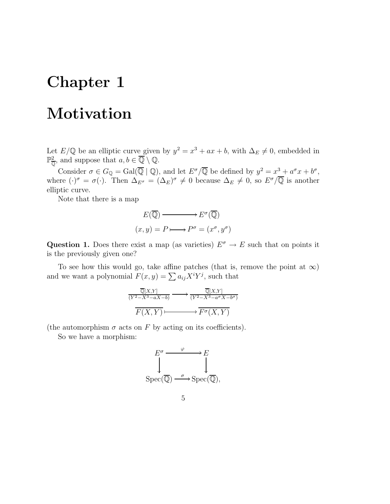# Chapter 1

## Motivation

Let  $E/\mathbb{Q}$  be an elliptic curve given by  $y^2 = x^3 + ax + b$ , with  $\Delta_E \neq 0$ , embedded in  $\mathbb{P}^2_{\overline{C}}$  $\frac{2}{\mathbb{Q}},$  and suppose that  $a, b \in \mathbb{Q} \setminus \mathbb{Q}.$ 

Consider  $\sigma \in G_{\mathbb{Q}} = \text{Gal}(\overline{\mathbb{Q}} \mid \mathbb{Q})$ , and let  $E^{\sigma}/\overline{\mathbb{Q}}$  be defined by  $y^2 = x^3 + a^{\sigma}x + b^{\sigma}$ , where  $(\cdot)^{\sigma} = \sigma(\cdot)$ . Then  $\Delta_{E^{\sigma}} = (\Delta_E)^{\sigma} \neq 0$  because  $\Delta_E \neq 0$ , so  $E^{\sigma}/\overline{\mathbb{Q}}$  is another elliptic curve.

Note that there is a map

$$
E(\overline{\mathbb{Q}}) \longrightarrow E^{\sigma}(\overline{\mathbb{Q}})
$$

$$
(x, y) = P \longmapsto P^{\sigma} = (x^{\sigma}, y^{\sigma})
$$

Question 1. Does there exist a map (as varieties)  $E^{\sigma} \to E$  such that on points it is the previously given one?

To see how this would go, take affine patches (that is, remove the point at  $\infty$ ) and we want a polynomial  $F(x, y) = \sum a_{ij} X^i Y^j$ , such that

$$
\frac{\overline{\mathbb{Q}}[X,Y]}{(Y^2 - X^3 - aX - b)} \longrightarrow \frac{\overline{\mathbb{Q}}[X,Y]}{(Y^2 - X^3 - a^{\sigma}X - b^{\sigma})}
$$
\n
$$
\overline{F(X,Y)} \longmapsto \overline{F^{\sigma}(X,Y)}
$$

(the automorphism  $\sigma$  acts on F by acting on its coefficients).

So we have a morphism:

$$
E^{\sigma} \xrightarrow{\varphi} E
$$
  

$$
\downarrow \qquad \qquad \downarrow
$$
  

$$
\text{Spec}(\overline{\mathbb{Q}}) \xrightarrow{\sigma} \text{Spec}(\overline{\mathbb{Q}}),
$$

5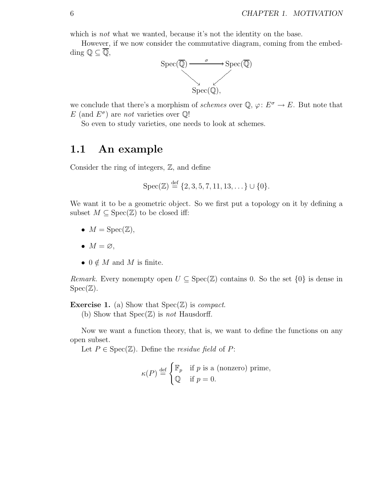which is *not* what we wanted, because it's not the identity on the base.

However, if we now consider the commutative diagram, coming from the embed- $\dim g \mathbb{Q} \subseteq \overline{\mathbb{Q}},$ 



we conclude that there's a morphism of *schemes* over  $\mathbb{Q}, \varphi: E^{\sigma} \to E$ . But note that E (and  $E^{\sigma}$ ) are not varieties over Q!

So even to study varieties, one needs to look at schemes.

## 1.1 An example

Consider the ring of integers,  $\mathbb{Z}$ , and define

 $Spec(\mathbb{Z}) \stackrel{\text{def}}{=} \{2, 3, 5, 7, 11, 13, \dots\} \cup \{0\}.$ 

We want it to be a geometric object. So we first put a topology on it by defining a subset  $M \subseteq \text{Spec}(\mathbb{Z})$  to be closed iff:

- $M = \text{Spec}(\mathbb{Z}),$
- $M = \varnothing$ ,
- $0 \notin M$  and M is finite.

Remark. Every nonempty open  $U \subseteq \text{Spec}(\mathbb{Z})$  contains 0. So the set  $\{0\}$  is dense in  $Spec(\mathbb{Z}).$ 

**Exercise 1.** (a) Show that  $Spec(\mathbb{Z})$  is *compact*.

(b) Show that  $Spec(\mathbb{Z})$  is not Hausdorff.

Now we want a function theory, that is, we want to define the functions on any open subset.

Let  $P \in \text{Spec}(\mathbb{Z})$ . Define the *residue field* of P:

$$
\kappa(P) \stackrel{\text{def}}{=} \begin{cases} \mathbb{F}_p & \text{if } p \text{ is a (nonzero) prime,} \\ \mathbb{Q} & \text{if } p = 0. \end{cases}
$$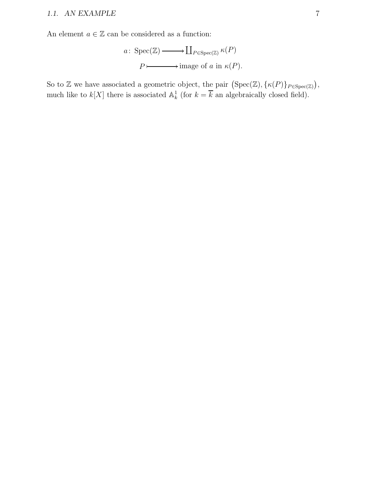An element  $a\in\mathbb{Z}$  can be considered as a function:

$$
a\colon \operatorname{Spec}(\mathbb{Z}) \longrightarrow \coprod_{P \in \operatorname{Spec}(\mathbb{Z})} \kappa(P)
$$

$$
P \longmapsto \operatorname{image} \text{ of } a \text{ in } \kappa(P).
$$

So to Z we have associated a geometric object, the pair  $(Spec(\mathbb{Z}), {\kappa(P)}_{P \in Spec(\mathbb{Z})})$ , much like to  $k[X]$  there is associated  $\mathbb{A}^1_k$  (for  $k = \overline{k}$  an algebraically closed field).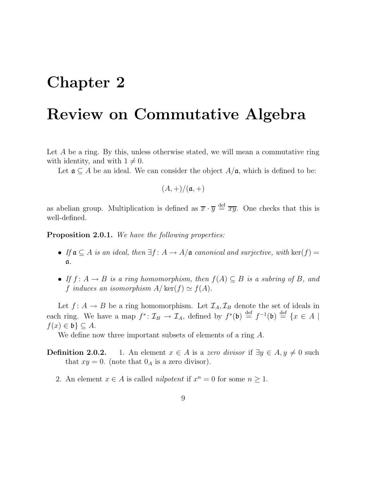## Chapter 2

## Review on Commutative Algebra

Let A be a ring. By this, unless otherwise stated, we will mean a commutative ring with identity, and with  $1 \neq 0$ .

Let  $\mathfrak{a} \subseteq A$  be an ideal. We can consider the object  $A/\mathfrak{a}$ , which is defined to be:

$$
(A,+)/(\mathfrak{a},+)
$$

as abelian group. Multiplication is defined as  $\overline{x} \cdot \overline{y} \stackrel{\text{def}}{=} \overline{x} \overline{y}$ . One checks that this is well-defined.

Proposition 2.0.1. We have the following properties:

- If  $\mathfrak{a} \subseteq A$  is an ideal, then  $\exists f : A \to A/\mathfrak{a}$  canonical and surjective, with  $\ker(f) =$ a.
- If  $f: A \to B$  is a ring homomorphism, then  $f(A) \subseteq B$  is a subring of B, and f induces an isomorphism  $A/\text{ker}(f) \simeq f(A)$ .

Let  $f: A \to B$  be a ring homomorphism. Let  $\mathcal{I}_A, \mathcal{I}_B$  denote the set of ideals in each ring. We have a map  $f^*: \mathcal{I}_B \to \mathcal{I}_A$ , defined by  $f^*(\mathfrak{b}) \stackrel{\text{def}}{=} f^{-1}(\mathfrak{b}) \stackrel{\text{def}}{=} \{x \in A \mid$  $f(x) \in \mathfrak{b} \subseteq A$ .

We define now three important subsets of elements of a ring A.

- **Definition 2.0.2.** 1. An element  $x \in A$  is a zero divisor if  $\exists y \in A, y \neq 0$  such that  $xy = 0$ . (note that  $0_A$  is a zero divisor).
	- 2. An element  $x \in A$  is called *nilpotent* if  $x^n = 0$  for some  $n \ge 1$ .
		- 9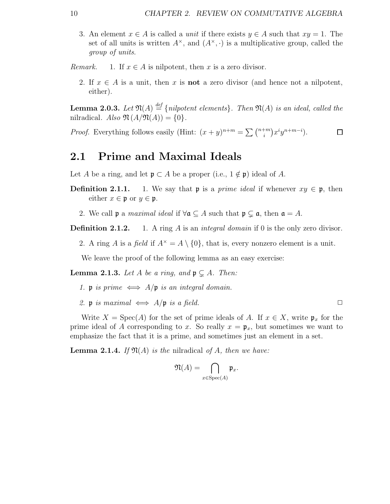3. An element  $x \in A$  is called a *unit* if there exists  $y \in A$  such that  $xy = 1$ . The set of all units is written  $A^{\times}$ , and  $(A^{\times}, \cdot)$  is a multiplicative group, called the group of units.

Remark. 1. If  $x \in A$  is nilpotent, then x is a zero divisor.

2. If  $x \in A$  is a unit, then x is **not** a zero divisor (and hence not a nilpotent, either).

**Lemma 2.0.3.** Let  $\mathfrak{N}(A) \stackrel{def}{=} \{ nilpotent \ elements \}$ . Then  $\mathfrak{N}(A)$  is an ideal, called the nilradical. Also  $\mathfrak{N}(A/\mathfrak{N}(A)) = \{0\}.$ 

*Proof.* Everything follows easily (Hint:  $(x + y)^{n+m} = \sum_{i=1}^{n+m} {n+m \choose i}$  $\binom{m}{i} x^i y^{n+m-i}$ .  $\Box$ 

## 2.1 Prime and Maximal Ideals

Let A be a ring, and let  $\mathfrak{p} \subset A$  be a proper (i.e.,  $1 \notin \mathfrak{p}$ ) ideal of A.

- **Definition 2.1.1.** 1. We say that **p** is a *prime ideal* if whenever  $xy \in \mathfrak{p}$ , then either  $x \in \mathfrak{p}$  or  $y \in \mathfrak{p}$ .
	- 2. We call **p** a *maximal ideal* if  $\forall \mathfrak{a} \subseteq A$  such that  $\mathfrak{p} \subseteq \mathfrak{a}$ , then  $\mathfrak{a} = A$ .

**Definition 2.1.2.** 1. A ring A is an *integral domain* if 0 is the only zero divisor.

2. A ring A is a field if  $A^{\times} = A \setminus \{0\}$ , that is, every nonzero element is a unit.

We leave the proof of the following lemma as an easy exercise:

**Lemma 2.1.3.** Let A be a ring, and  $\mathfrak{p} \subsetneq A$ . Then:

- 1. **p** is prime  $\iff$  A/**p** is an integral domain.
- 2. **p** is maximal  $\iff$  A/**p** is a field.

Write  $X = \text{Spec}(A)$  for the set of prime ideals of A. If  $x \in X$ , write  $\mathfrak{p}_x$  for the prime ideal of A corresponding to x. So really  $x = \mathfrak{p}_x$ , but sometimes we want to emphasize the fact that it is a prime, and sometimes just an element in a set.

**Lemma 2.1.4.** If  $\mathfrak{N}(A)$  is the nilradical of A, then we have:

$$
\mathfrak{N}(A) = \bigcap_{x \in \text{Spec}(A)} \mathfrak{p}_x.
$$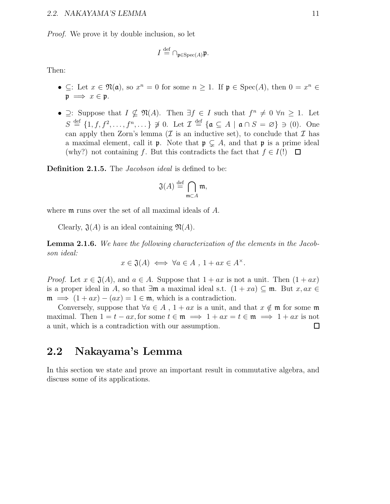Proof. We prove it by double inclusion, so let

$$
I \stackrel{\text{def}}{=} \bigcap_{\mathfrak{p} \in \text{Spec}(A)} \mathfrak{p}.
$$

Then:

- $\subseteq$ : Let  $x \in \mathfrak{N}(\mathfrak{a})$ , so  $x^n = 0$  for some  $n \geq 1$ . If  $\mathfrak{p} \in \text{Spec}(A)$ , then  $0 = x^n \in$  $\mathfrak{p} \implies x \in \mathfrak{p}.$
- $\supseteq$ : Suppose that  $I \nsubseteq \mathfrak{N}(A)$ . Then  $\exists f \in I$  such that  $f^n \neq 0 \ \forall n \geq 1$ . Let  $S \stackrel{\text{def}}{=} \{1, f, f^2, \ldots, f^n, \ldots\} \not\supseteq 0$ . Let  $\mathcal{I} \stackrel{\text{def}}{=} \{\mathfrak{a} \subseteq A \mid \mathfrak{a} \cap S = \varnothing\} \ni (0)$ . One can apply then Zorn's lemma ( $\mathcal I$  is an inductive set), to conclude that  $\mathcal I$  has a maximal element, call it **p**. Note that  $p \subseteq A$ , and that **p** is a prime ideal (why?) not containing f. But this contradicts the fact that  $f \in I(!) \square$

**Definition 2.1.5.** The *Jacobson ideal* is defined to be:

$$
\mathfrak{J}(A) \stackrel{\text{def}}{=} \bigcap_{\mathfrak{m} \subset A} \mathfrak{m},
$$

where m runs over the set of all maximal ideals of A.

Clearly,  $\mathfrak{J}(A)$  is an ideal containing  $\mathfrak{N}(A)$ .

Lemma 2.1.6. We have the following characterization of the elements in the Jacobson ideal:

$$
x \in \mathfrak{J}(A) \iff \forall a \in A , 1 + ax \in A^{\times}.
$$

*Proof.* Let  $x \in \mathfrak{J}(A)$ , and  $a \in A$ . Suppose that  $1 + ax$  is not a unit. Then  $(1 + ax)$ is a proper ideal in A, so that  $\exists m$  a maximal ideal s.t.  $(1 + xa) \subseteq m$ . But  $x, ax \in$  $\mathfrak{m} \implies (1+ax)-(ax)=1 \in \mathfrak{m}$ , which is a contradiction.

Conversely, suppose that  $\forall a \in A$ ,  $1 + ax$  is a unit, and that  $x \notin \mathfrak{m}$  for some  $\mathfrak{m}$ maximal. Then  $1 = t - ax$ , for some  $t \in \mathfrak{m} \implies 1 + ax = t \in \mathfrak{m} \implies 1 + ax$  is not a unit, which is a contradiction with our assumption. a unit, which is a contradiction with our assumption.

#### 2.2 Nakayama's Lemma

In this section we state and prove an important result in commutative algebra, and discuss some of its applications.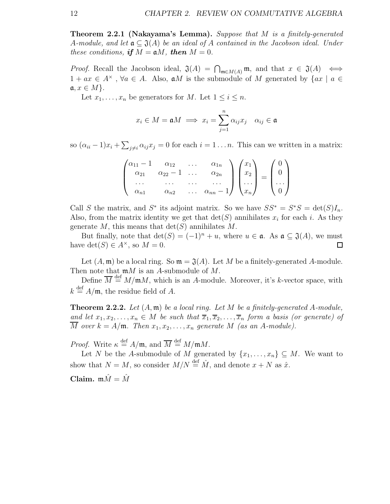**Theorem 2.2.1 (Nakayama's Lemma).** Suppose that M is a finitely-generated A-module, and let  $\mathfrak{a} \subset \mathfrak{J}(A)$  be an ideal of A contained in the Jacobson ideal. Under these conditions, if  $M = \mathfrak{a}M$ , then  $M = 0$ .

*Proof.* Recall the Jacobson ideal,  $\mathfrak{J}(A) = \bigcap_{\mathfrak{m} \in M(A)} \mathfrak{m}$ , and that  $x \in \mathfrak{J}(A) \iff$  $1 + ax \in A^{\times}$ ,  $\forall a \in A$ . Also,  $\mathfrak{a}M$  is the submodule of M generated by  $\{ax \mid a \in A\}$  $a, x \in M$ .

Let  $x_1, \ldots, x_n$  be generators for M. Let  $1 \leq i \leq n$ .

$$
x_i \in M = \mathfrak{a}M \implies x_i = \sum_{j=1}^n \alpha_{ij} x_j \quad \alpha_{ij} \in \mathfrak{a}
$$

so  $(\alpha_{ii} - 1)x_i + \sum_{j \neq i} \alpha_{ij} x_j = 0$  for each  $i = 1 \dots n$ . This can we written in a matrix:

|  | $\begin{pmatrix} \alpha_{11}-1 & \alpha_{12} & \dots & \alpha_{1n} \\ \alpha_{21} & \alpha_{22}-1 & \dots & \alpha_{2n} \\ \dots & \dots & \dots & \dots \\ \alpha_{n1} & \alpha_{n2} & \dots & \alpha_{nn}-1 \end{pmatrix} \begin{pmatrix} x_1 \\ x_2 \\ \dots \\ x_n \end{pmatrix} = \begin{pmatrix} 0 \\ 0 \\ \dots \\ 0 \end{pmatrix}$ |  |
|--|--------------------------------------------------------------------------------------------------------------------------------------------------------------------------------------------------------------------------------------------------------------------------------------------------------------------------------------------|--|
|  |                                                                                                                                                                                                                                                                                                                                            |  |

Call S the matrix, and S<sup>\*</sup> its adjoint matrix. So we have  $SS^* = S^*S = \det(S)I_n$ . Also, from the matrix identity we get that  $\det(S)$  annihilates  $x_i$  for each i. As they generate M, this means that  $\det(S)$  annihilates M.

But finally, note that  $\det(S) = (-1)^n + u$ , where  $u \in \mathfrak{a}$ . As  $\mathfrak{a} \subseteq \mathfrak{J}(A)$ , we must  $ve \text{ } \det(S) \in A^{\times}$ , so  $M = 0$ . have  $\det(S) \in A^{\times}$ , so  $M = 0$ .

Let  $(A, \mathfrak{m})$  be a local ring. So  $\mathfrak{m} = \mathfrak{J}(A)$ . Let M be a finitely-generated A-module. Then note that  $mM$  is an A-submodule of M.

Define  $\overline{M} \stackrel{\text{def}}{=} M/\mathfrak{m}M$ , which is an A-module. Moreover, it's k-vector space, with  $k \stackrel{\text{def}}{=} A/\mathfrak{m}$ , the residue field of A.

**Theorem 2.2.2.** Let  $(A, \mathfrak{m})$  be a local ring. Let M be a finitely-generated A-module, and let  $x_1, x_2, \ldots, x_n \in M$  be such that  $\overline{x}_1, \overline{x}_2, \ldots, \overline{x}_n$  form a basis (or generate) of  $\overline{M}$  over  $k = A/\mathfrak{m}$ . Then  $x_1, x_2, \ldots, x_n$  generate M (as an A-module).

*Proof.* Write  $\kappa \stackrel{\text{def}}{=} A/\mathfrak{m}$ , and  $\overline{M} \stackrel{\text{def}}{=} M/\mathfrak{m}M$ .

Let N be the A-submodule of M generated by  $\{x_1, \ldots, x_n\} \subset M$ . We want to show that  $N = M$ , so consider  $M/N \stackrel{\text{def}}{=} \hat{M}$ , and denote  $x + N$  as  $\hat{x}$ .

Claim.  $m\hat{M} = \hat{M}$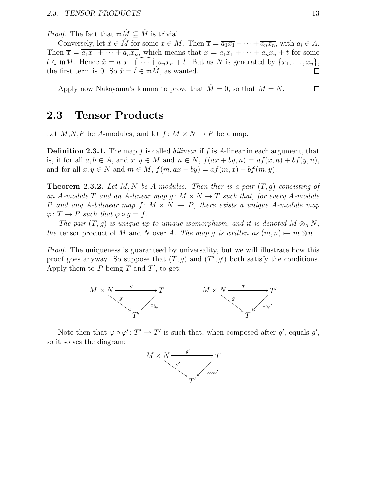*Proof.* The fact that  $m\hat{M} \subseteq \hat{M}$  is trivial.

Conversely, let  $\hat{x} \in \hat{M}$  for some  $x \in M$ . Then  $\overline{x} = \overline{a_1x_1} + \cdots + \overline{a_nx_n}$ , with  $a_i \in A$ . Then  $\overline{x} = \overline{a_1x_1 + \cdots + a_nx_n}$ , which means that  $x = a_1x_1 + \cdots + a_nx_n + t$  for some t ∈ mM. Hence  $\hat{x} = a_1x_1 + \cdots + a_nx_n + \hat{t}$ . But as N is generated by  $\{x_1, \ldots, x_n\}$ , the first term is 0. So  $\hat{x} = \hat{t} \in m\hat{M}$ , as wanted. the first term is 0. So  $\hat{x} = \hat{t} \in \mathfrak{m}M$ , as wanted.

Apply now Nakayama's lemma to prove that  $\hat{M}=0$ , so that  $M=N$ .

#### 2.3 Tensor Products

Let  $M, N, P$  be A-modules, and let  $f: M \times N \rightarrow P$  be a map.

**Definition 2.3.1.** The map f is called *bilinear* if f is A-linear in each argument, that is, if for all  $a, b \in A$ , and  $x, y \in M$  and  $n \in N$ ,  $f(ax + by, n) = af(x, n) + bf(y, n)$ , and for all  $x, y \in N$  and  $m \in M$ ,  $f(m, ax + by) = af(m, x) + bf(m, y)$ .

**Theorem 2.3.2.** Let M, N be A-modules. Then ther is a pair  $(T, g)$  consisting of an A-module T and an A-linear map  $q: M \times N \rightarrow T$  such that, for every A-module P and any A-bilinear map  $f: M \times N \rightarrow P$ , there exists a unique A-module map  $\varphi\colon T\to P$  such that  $\varphi\circ q=f$ .

The pair  $(T, g)$  is unique up to unique isomorphism, and it is denoted  $M \otimes_A N$ , the tensor product of M and N over A. The map g is written as  $(m, n) \mapsto m \otimes n$ .

*Proof.* The uniqueness is guaranteed by universality, but we will illustrate how this proof goes anyway. So suppose that  $(T, g)$  and  $(T', g')$  both satisfy the conditions. Apply them to  $P$  being  $T$  and  $T'$ , to get:



Note then that  $\varphi \circ \varphi' : T' \to T'$  is such that, when composed after  $g'$ , equals  $g'$ , so it solves the diagram:



 $\Box$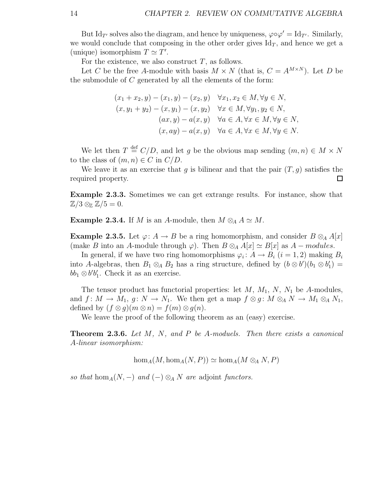But Id<sub>T'</sub> solves also the diagram, and hence by uniqueness,  $\varphi \circ \varphi' = \text{Id}_{T'}$ . Similarly, we would conclude that composing in the other order gives  $\mathrm{Id}_T$ , and hence we get a (unique) isomorphism  $T \simeq T'$ .

For the existence, we also construct  $T$ , as follows.

Let C be the free A-module with basis  $M \times N$  (that is,  $C = A^{M \times N}$ ). Let D be the submodule of  $C$  generated by all the elements of the form:

$$
(x_1 + x_2, y) - (x_1, y) - (x_2, y) \quad \forall x_1, x_2 \in M, \forall y \in N,
$$
  
\n
$$
(x, y_1 + y_2) - (x, y_1) - (x, y_2) \quad \forall x \in M, \forall y_1, y_2 \in N,
$$
  
\n
$$
(ax, y) - a(x, y) \quad \forall a \in A, \forall x \in M, \forall y \in N,
$$
  
\n
$$
(x, ay) - a(x, y) \quad \forall a \in A, \forall x \in M, \forall y \in N.
$$

We let then  $T \stackrel{\text{def}}{=} C/D$ , and let g be the obvious map sending  $(m, n) \in M \times N$ to the class of  $(m, n) \in C$  in  $C/D$ .

We leave it as an exercise that g is bilinear and that the pair  $(T, g)$  satisfies the required property.  $\Box$ 

Example 2.3.3. Sometimes we can get extrange results. For instance, show that  $\mathbb{Z}/3 \otimes_{\mathbb{Z}} \mathbb{Z}/5 = 0.$ 

**Example 2.3.4.** If M is an A-module, then  $M \otimes_A A \simeq M$ .

**Example 2.3.5.** Let  $\varphi: A \to B$  be a ring homomorphism, and consider  $B \otimes_A A[x]$ (make B into an A-module through  $\varphi$ ). Then  $B \otimes_A A[x] \simeq B[x]$  as  $A$  – modules.

In general, if we have two ring homomorphisms  $\varphi_i: A \to B_i$   $(i = 1, 2)$  making  $B_i$ into A-algebras, then  $B_1 \otimes_A B_2$  has a ring structure, defined by  $(b \otimes b')(b_1 \otimes b'_1) =$  $bb_1 \otimes b'b'_1$ . Check it as an exercise.

The tensor product has functorial properties: let  $M$ ,  $M_1$ ,  $N$ ,  $N_1$  be A-modules, and  $f: M \to M_1, g: N \to N_1$ . We then get a map  $f \otimes g: M \otimes_A N \to M_1 \otimes_A N_1$ , defined by  $(f \otimes q)(m \otimes n) = f(m) \otimes q(n)$ .

We leave the proof of the following theorem as an (easy) exercise.

**Theorem 2.3.6.** Let  $M$ ,  $N$ , and  $P$  be A-moduels. Then there exists a canonical A-linear isomorphism:

 $hom_A(M, hom_A(N, P)) \simeq hom_A(M \otimes_A N, P)$ 

so that hom<sub>A</sub>(N, –) and (–)  $\otimes_A N$  are adjoint functors.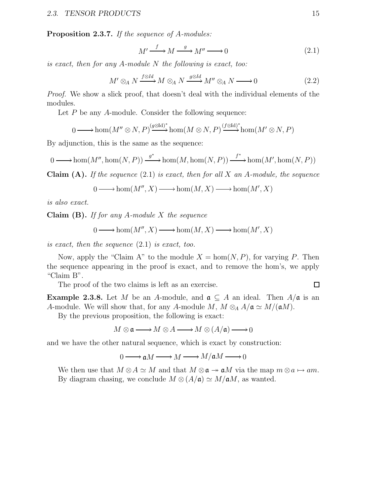Proposition 2.3.7. If the sequence of A-modules:

$$
M' \xrightarrow{f} M \xrightarrow{g} M'' \longrightarrow 0 \tag{2.1}
$$

is exact, then for any A-module N the following is exact, too:

$$
M' \otimes_A N \xrightarrow{f \otimes Id} M \otimes_A N \xrightarrow{g \otimes Id} M'' \otimes_A N \longrightarrow 0
$$
 (2.2)

Proof. We show a slick proof, that doesn't deal with the individual elements of the modules.

Let  $P$  be any  $A$ -module. Consider the following sequence:

$$
0 \longrightarrow \text{hom}(M'' \otimes N, P) \xrightarrow{(g \otimes \text{Id})^*} \text{hom}(M \otimes N, P) \xrightarrow{(f \otimes \text{Id})^*} \text{hom}(M' \otimes N, P)
$$

By adjunction, this is the same as the sequence:

$$
0 \longrightarrow \text{hom}(M'', \text{hom}(N, P)) \xrightarrow{g^*} \text{hom}(M, \text{hom}(N, P)) \xrightarrow{f^*} \text{hom}(M', \text{hom}(N, P))
$$

**Claim (A).** If the sequence (2.1) is exact, then for all X an A-module, the sequence

$$
0 \longrightarrow \text{hom}(M'', X) \longrightarrow \text{hom}(M, X) \longrightarrow \text{hom}(M', X)
$$

is also exact.

**Claim (B).** If for any A-module X the sequence

$$
0{\longrightarrow\mathrm{hom}}(M'',X){\longrightarrow\mathrm{hom}}(M,X){\longrightarrow\mathrm{hom}}(M',X)
$$

is exact, then the sequence (2.1) is exact, too.

Now, apply the "Claim A" to the module  $X = \text{hom}(N, P)$ , for varying P. Then the sequence appearing in the proof is exact, and to remove the hom's, we apply "Claim B".

The proof of the two claims is left as an exercise.

**Example 2.3.8.** Let M be an A-module, and  $\mathfrak{a} \subseteq A$  an ideal. Then  $A/\mathfrak{a}$  is an A-module. We will show that, for any A-module M,  $M \otimes_A A/\mathfrak{a} \simeq M/(\mathfrak{a}M)$ .

By the previous proposition, the following is exact:

$$
M \otimes \mathfrak{a} \longrightarrow M \otimes A \longrightarrow M \otimes (A/\mathfrak{a}) \longrightarrow 0
$$

and we have the other natural sequence, which is exact by construction:

$$
0\longrightarrow \mathfrak{a}M\longrightarrow M\longrightarrow M/\mathfrak{a}M\longrightarrow 0
$$

We then use that  $M \otimes A \simeq M$  and that  $M \otimes \mathfrak{a} \to \mathfrak{a}M$  via the map  $m \otimes a \mapsto am$ . By diagram chasing, we conclude  $M \otimes (A/\mathfrak{a}) \simeq M/\mathfrak{a}M$ , as wanted.

$$
\Box
$$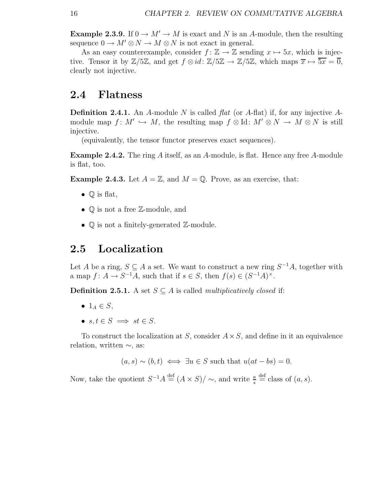**Example 2.3.9.** If  $0 \to M' \to M$  is exact and N is an A-module, then the resulting sequence  $0 \to M' \otimes N \to M \otimes N$  is not exact in general.

As an easy counterexample, consider  $f : \mathbb{Z} \to \mathbb{Z}$  sending  $x \mapsto 5x$ , which is injective. Tensor it by  $\mathbb{Z}/5\mathbb{Z}$ , and get  $f \otimes id$ :  $\mathbb{Z}/5\mathbb{Z} \to \mathbb{Z}/5\mathbb{Z}$ , which maps  $\overline{x} \mapsto \overline{5x} = 0$ , clearly not injective.

#### 2.4 Flatness

**Definition 2.4.1.** An A-module N is called *flat* (or A-flat) if, for any injective Amodule map  $f: M' \hookrightarrow M$ , the resulting map  $f \otimes Id: M' \otimes N \to M \otimes N$  is still injective.

(equivalently, the tensor functor preserves exact sequences).

Example 2.4.2. The ring A itself, as an A-module, is flat. Hence any free A-module is flat, too.

**Example 2.4.3.** Let  $A = \mathbb{Z}$ , and  $M = \mathbb{Q}$ . Prove, as an exercise, that:

- $\bullet$   $\oslash$  is flat,
- Q is not a free Z-module, and
- $\bullet~\mathbb{Q}$  is not a finitely-generated  $\mathbb{Z}\text{-module}.$

#### 2.5 Localization

Let A be a ring,  $S \subseteq A$  a set. We want to construct a new ring  $S^{-1}A$ , together with a map  $f: A \to S^{-1}A$ , such that if  $s \in S$ , then  $f(s) \in (S^{-1}A)^{\times}$ .

**Definition 2.5.1.** A set  $S \subseteq A$  is called *multiplicatively closed* if:

- $\bullet$  1<sub>A</sub>  $\in$  S,
- $s, t \in S \implies st \in S$ .

To construct the localization at S, consider  $A \times S$ , and define in it an equivalence relation, written ∼, as:

 $(a, s) \sim (b, t) \iff \exists u \in S \text{ such that } u(at - bs) = 0.$ 

Now, take the quotient  $S^{-1}A \stackrel{\text{def}}{=} (A \times S)/\sim$ , and write  $\frac{a}{s} \stackrel{\text{def}}{=}$  class of  $(a, s)$ .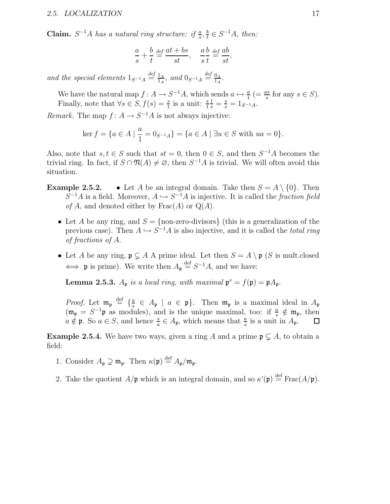**Claim.**  $S^{-1}A$  has a natural ring structure: if  $\frac{a}{s}$ ,  $\frac{b}{t}$  $\frac{b}{t} \in S^{-1}A$ , then:

$$
\frac{a}{s} + \frac{b}{t} \stackrel{def}{=} \frac{at + bs}{st}, \quad \frac{a}{s} \frac{b}{t} \stackrel{def}{=} \frac{ab}{st},
$$

and the special elements  $1_{S^{-1}A} \stackrel{\text{def}}{=} \frac{1_A}{1_A}$  $\frac{1_A}{1_A}$ , and  $0_{S^{-1}A}$   $\stackrel{def}{=} \frac{0_A}{1_A}$  $\frac{0_A}{1_A}$  .

We have the natural map  $f: A \to S^{-1}A$ , which sends  $a \mapsto \frac{a}{1}$  (=  $\frac{as}{s}$  for any  $s \in S$ ). Finally, note that  $\forall s \in S, f(s) = \frac{s}{1}$  $\frac{s}{1}$  is a unit:  $\frac{s}{1}$  $\frac{1}{s} = \frac{s}{s} = 1_{S^{-1}A}.$ 

*Remark*. The map  $f: A \to S^{-1}A$  is not always injective:

$$
\ker f = \{ a \in A \mid \frac{a}{1} = 0_{S^{-1}A} \} = \{ a \in A \mid \exists u \in S \text{ with } ua = 0 \}.
$$

Also, note that  $s, t \in S$  such that  $st = 0$ , then  $0 \in S$ , and then  $S^{-1}A$  becomes the trivial ring. In fact, if  $S \cap \mathfrak{N}(A) \neq \emptyset$ , then  $S^{-1}A$  is trivial. We will often avoid this situation.

- **Example 2.5.2.** Let A be an integral domain. Take then  $S = A \setminus \{0\}$ . Then  $S^{-1}A$  is a field. Moreover,  $A \hookrightarrow S^{-1}A$  is injective. It is called the *fraction field* of A, and denoted either by  $Frac(A)$  or  $Q(A)$ .
	- Let A be any ring, and  $S = \{non-zero-divisors\}$  (this is a generalization of the previous case). Then  $A \hookrightarrow S^{-1}A$  is also injective, and it is called the *total ring* of fractions of A.
	- Let A be any ring,  $\mathfrak{p} \subsetneq A$  A prime ideal. Let then  $S = A \setminus \mathfrak{p}$  (S is mult.closed  $\iff$  **p** is prime). We write then  $A_p \stackrel{\text{def}}{=} S^{-1}A$ , and we have:

**Lemma 2.5.3.**  $A_p$  is a local ring, with maximal  $\mathfrak{p}^e = f(\mathfrak{p}) = \mathfrak{p}A_p$ .

*Proof.* Let  $\mathfrak{m}_{\mathfrak{p}} \stackrel{\text{def}}{=} \{ \frac{a}{s} \}$  $\frac{a}{s} \in A_{\mathfrak{p}} \mid a \in \mathfrak{p}$ . Then  $\mathfrak{m}_{\mathfrak{p}}$  is a maximal ideal in  $A_{\mathfrak{p}}$  $(\mathfrak{m}_{\mathfrak{p}}) = S^{-1} \mathfrak{p}$  as modules), and is the unique maximal, too: if  $\frac{a}{s} \notin \mathfrak{m}_{\mathfrak{p}}$ , then  $a \notin \mathfrak{p}$ . So  $a \in S$ , and hence  $\frac{s}{a} \in A_{\mathfrak{p}}$ , which means that  $\frac{a}{s}$  is a unit in  $A_{\mathfrak{p}}$ .

**Example 2.5.4.** We have two ways, given a ring A and a prime  $\mathfrak{p} \subsetneq A$ , to obtain a field:

- 1. Consider  $A_{\mathfrak{p}} \supsetneq \mathfrak{m}_{\mathfrak{p}}$ . Then  $\kappa(\mathfrak{p}) \stackrel{\text{def}}{=} A_{\mathfrak{p}}/\mathfrak{m}_{\mathfrak{p}}$ .
- 2. Take the quotient  $A/\mathfrak{p}$  which is an integral domain, and so  $\kappa'(\mathfrak{p}) \stackrel{\text{def}}{=} \text{Frac}(A/\mathfrak{p})$ .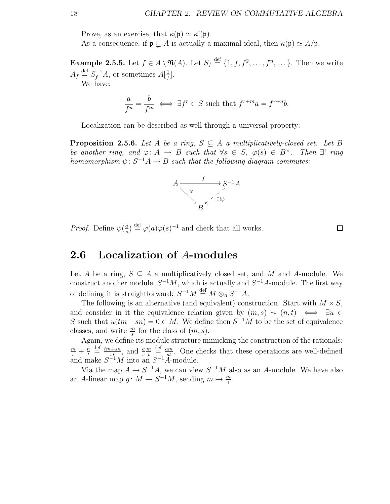Prove, as an exercise, that  $\kappa(\mathfrak{p}) \simeq \kappa'(\mathfrak{p})$ .

As a consequence, if  $\mathfrak{p} \subsetneq A$  is actually a maximal ideal, then  $\kappa(\mathfrak{p}) \simeq A/\mathfrak{p}$ .

**Example 2.5.5.** Let  $f \in A \setminus \mathfrak{N}(A)$ . Let  $S_f \stackrel{\text{def}}{=} \{1, f, f^2, \ldots, f^n, \ldots\}$ . Then we write  $A_f \stackrel{\text{def}}{=} S_f^{-1}A$ , or sometimes  $A[\frac{1}{f}]$  $\frac{1}{f}$ . We have:

$$
\frac{a}{f^n} = \frac{b}{f^m} \iff \exists f^r \in S \text{ such that } f^{r+m}a = f^{r+n}b.
$$

Localization can be described as well through a universal property:

**Proposition 2.5.6.** Let A be a ring,  $S \subseteq A$  a multiplicatively-closed set. Let B be another ring, and  $\varphi: A \to B$  such that  $\forall s \in S$ ,  $\varphi(s) \in B^{\times}$ . Then  $\exists !$  ring homomorphism  $\psi: S^{-1}A \to B$  such that the following diagram commutes:



*Proof.* Define  $\psi(\frac{a}{s})$  $\frac{a}{s}$ )  $\stackrel{\text{def}}{=} \varphi(a)\varphi(s)^{-1}$  and check that all works.

#### $\Box$

#### 2.6 Localization of A-modules

Let A be a ring,  $S \subseteq A$  a multiplicatively closed set, and M and A-module. We construct another module,  $S^{-1}M$ , which is actually and  $S^{-1}A$ -module. The first way of defining it is straightforward:  $S^{-1}M \stackrel{\text{def}}{=} M \otimes_A S^{-1}A$ .

The following is an alternative (and equivalent) construction. Start with  $M \times S$ , and consider in it the equivalence relation given by  $(m, s) \sim (n, t) \iff \exists u \in$ S such that  $u(tm - sn) = 0 \in M$ . We define then  $S^{-1}M$  to be the set of equivalence classes, and write  $\frac{m}{s}$  for the class of  $(m, s)$ .

Again, we define its module structure mimicking the construction of the rationals:  $\frac{m}{s} + \frac{n}{t}$  $\frac{a}{t} \stackrel{\text{def}}{=} \frac{tm+sn}{st}$ , and  $\frac{a}{s}$ m  $\frac{d}{dt} = \frac{dm}{st}$ . One checks that these operations are well-defined and make  $S^{-1}M$  into an  $S^{-1}\tilde{A}$ -module.

Via the map  $A \to S^{-1}A$ , we can view  $S^{-1}M$  also as an A-module. We have also an A-linear map  $g: M \to S^{-1}M$ , sending  $m \mapsto \frac{m}{1}$ .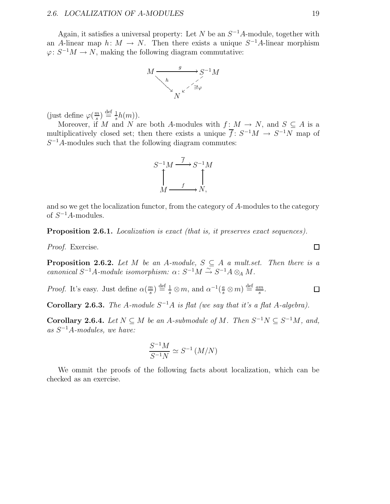Again, it satisfies a universal property: Let N be an  $S^{-1}A$ -module, together with an A-linear map  $h: M \to N$ . Then there exists a unique  $S^{-1}A$ -linear morphism  $\varphi: S^{-1}M \to N$ , making the following diagram commutative:



(just define  $\varphi(\frac{m}{s})$  $\frac{n}{s}) \stackrel{\text{def}}{=} \frac{1}{s}$  $\frac{1}{s}h(m)$ ).

Moreover, if M and N are both A-modules with  $f: M \to N$ , and  $S \subseteq A$  is a multiplicatively closed set; then there exists a unique  $\overline{f}$ :  $S^{-1}M \rightarrow S^{-1}N$  map of  $S^{-1}A$ -modules such that the following diagram commutes:



and so we get the localization functor, from the category of A-modules to the category of  $S^{-1}A$ -modules.

Proposition 2.6.1. *Localization is exact (that is, it preserves exact sequences)*.

Proof. Exercise.

**Proposition 2.6.2.** Let M be an A-module,  $S \subseteq A$  a mult.set. Then there is a canonical  $S^{-1}A$ -module isomorphism:  $\alpha: S^{-1}M \stackrel{\sim}{\rightarrow} S^{-1}A \otimes_A M$ .

*Proof.* It's easy. Just define 
$$
\alpha(\frac{m}{s}) \stackrel{\text{def}}{=} \frac{1}{s} \otimes m
$$
, and  $\alpha^{-1}(\frac{a}{s} \otimes m) \stackrel{\text{def}}{=} \frac{am}{s}$ .

Corollary 2.6.3. The A-module  $S^{-1}A$  is flat (we say that it's a flat A-algebra).

**Corollary 2.6.4.** Let  $N \subseteq M$  be an A-submodule of M. Then  $S^{-1}N \subseteq S^{-1}M$ , and, as  $S^{-1}A$ -modules, we have:

$$
\frac{S^{-1}M}{S^{-1}N} \simeq S^{-1} (M/N)
$$

We ommit the proofs of the following facts about localization, which can be checked as an exercise.

 $\Box$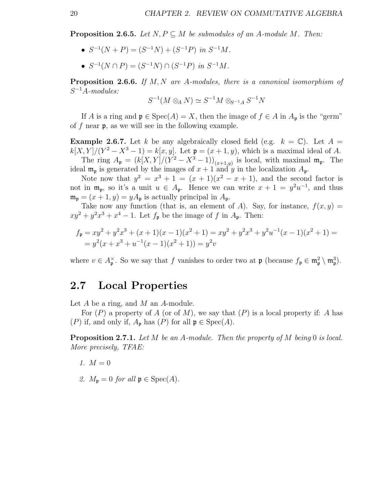**Proposition 2.6.5.** Let  $N, P \subseteq M$  be submodules of an A-module M. Then:

- $S^{-1}(N+P) = (S^{-1}N) + (S^{-1}P)$  in  $S^{-1}M$ .
- $S^{-1}(N \cap P) = (S^{-1}N) \cap (S^{-1}P)$  in  $S^{-1}M$ .

**Proposition 2.6.6.** If  $M, N$  are A-modules, there is a canonical isomorphism of  $S^{-1}A$ -modules:

$$
S^{-1}(M\otimes_A N)\simeq S^{-1}M\otimes_{S^{-1}A}S^{-1}N
$$

If A is a ring and  $\mathfrak{p} \in \text{Spec}(A) = X$ , then the image of  $f \in A$  in  $A_{\mathfrak{p}}$  is the "germ" of  $f$  near  $\mathfrak{p}$ , as we will see in the following example.

**Example 2.6.7.** Let k be any algebraically closed field (e.g.  $k = \mathbb{C}$ ). Let  $A =$  $k[X, Y]/(Y^2 - X^3 - 1) = k[x, y]$ . Let  $\mathfrak{p} = (x + 1, y)$ , which is a maximal ideal of A.

The ring  $A_{\mathfrak{p}} = (k[X,Y]/(Y^2 - X^3 - 1))_{(x+1,y)}$  is local, with maximal  $\mathfrak{m}_{\mathfrak{p}}$ . The ideal  $\mathfrak{m}_{\mathfrak{p}}$  is generated by the images of  $x + 1$  and y in the localization  $A_{\mathfrak{p}}$ .

Note now that  $y^2 = x^3 + 1 = (x + 1)(x^2 - x + 1)$ , and the second factor is not in  $\mathfrak{m}_{\mathfrak{p}}$ , so it's a unit  $u \in A_{\mathfrak{p}}$ . Hence we can write  $x + 1 = y^2 u^{-1}$ , and thus  $\mathfrak{m}_{\mathfrak{p}} = (x+1, y) = yA_{\mathfrak{p}}$  is actually principal in  $A_{\mathfrak{p}}$ .

Take now any function (that is, an element of A). Say, for instance,  $f(x, y) =$  $xy^2 + y^2x^3 + x^4 - 1$ . Let  $f_{\mathfrak{p}}$  be the image of f in  $A_{\mathfrak{p}}$ . Then:

$$
f_{\mathfrak{p}} = xy^2 + y^2x^3 + (x+1)(x-1)(x^2+1) = xy^2 + y^2x^3 + y^2u^{-1}(x-1)(x^2+1) =
$$
  
=  $y^2(x + x^3 + u^{-1}(x-1)(x^2+1)) = y^2v$ 

where  $v \in A_{\mathfrak{p}}^{\times}$ . So we say that f vanishes to order two at  $\mathfrak{p}$  (because  $f_{\mathfrak{p}} \in \mathfrak{m}_{\mathfrak{p}}^2 \setminus \mathfrak{m}_{\mathfrak{p}}^3$ ).

## 2.7 Local Properties

Let  $A$  be a ring, and  $M$  an  $A$ -module.

For  $(P)$  a property of A (or of M), we say that  $(P)$  is a local property if: A has (P) if, and only if,  $A_{p}$  has (P) for all  $p \in Spec(A)$ .

**Proposition 2.7.1.** Let M be an A-module. Then the property of M being 0 is local. More precisely, TFAE:

- 1.  $M = 0$
- 2.  $M_{\mathfrak{p}} = 0$  for all  $\mathfrak{p} \in \text{Spec}(A)$ .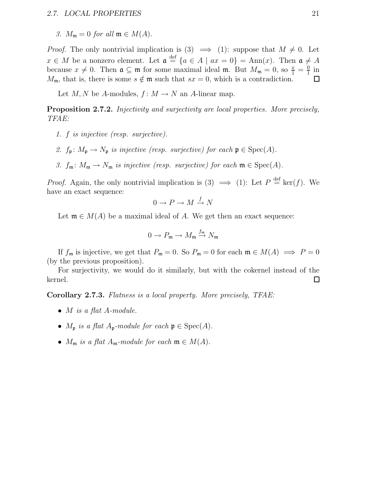3.  $M_{\mathfrak{m}} = 0$  for all  $\mathfrak{m} \in M(A)$ .

*Proof.* The only nontrivial implication is  $(3) \implies (1)$ : suppose that  $M \neq 0$ . Let  $x \in M$  be a nonzero element. Let  $\mathfrak{a} \triangleq \{a \in A \mid ax = 0\} = \text{Ann}(x)$ . Then  $\mathfrak{a} \neq A$ because  $x \neq 0$ . Then  $\mathfrak{a} \subseteq \mathfrak{m}$  for some maximal ideal  $\mathfrak{m}$ . But  $M_{\mathfrak{m}} = 0$ , so  $\frac{x}{1} = \frac{0}{1}$  $\frac{0}{1}$  in  $M_{\mathfrak{m}}$ , that is, there is some  $s \notin \mathfrak{m}$  such that  $sx = 0$ , which is a contradiction.

Let  $M, N$  be A-modules,  $f: M \to N$  an A-linear map.

**Proposition 2.7.2.** Injectivity and surjectivity are local properties. More precisely, TFAE:

- 1. f is injective (resp. surjective).
- 2.  $f_{\mathfrak{p}}: M_{\mathfrak{p}} \to N_{\mathfrak{p}}$  is injective (resp. surjective) for each  $\mathfrak{p} \in \text{Spec}(A)$ .
- 3.  $f_{\mathfrak{m}}: M_{\mathfrak{m}} \to N_{\mathfrak{m}}$  is injective (resp. surjective) for each  $\mathfrak{m} \in \text{Spec}(A)$ .

*Proof.* Again, the only nontrivial implication is (3)  $\implies$  (1): Let  $P \stackrel{\text{def}}{=} \ker(f)$ . We have an exact sequence:

$$
0 \to P \to M \xrightarrow{f} N
$$

Let  $\mathfrak{m} \in M(A)$  be a maximal ideal of A. We get then an exact sequence:

$$
0 \to P_{\mathfrak{m}} \to M_{\mathfrak{m}} \stackrel{f_{\mathfrak{m}}}{\to} N_{\mathfrak{m}}
$$

If  $f_m$  is injective, we get that  $P_m = 0$ . So  $P_m = 0$  for each  $\mathfrak{m} \in M(A) \implies P = 0$ (by the previous proposition).

For surjectivity, we would do it similarly, but with the cokernel instead of the kernel.  $\Box$ 

Corollary 2.7.3. Flatness is a local property. More precisely, TFAE:

- $M$  is a flat A-module.
- $M_{\mathfrak{p}}$  is a flat  $A_{\mathfrak{p}}$ -module for each  $\mathfrak{p} \in \text{Spec}(A)$ .
- $M_{\mathfrak{m}}$  is a flat  $A_{\mathfrak{m}}$ -module for each  $\mathfrak{m} \in M(A)$ .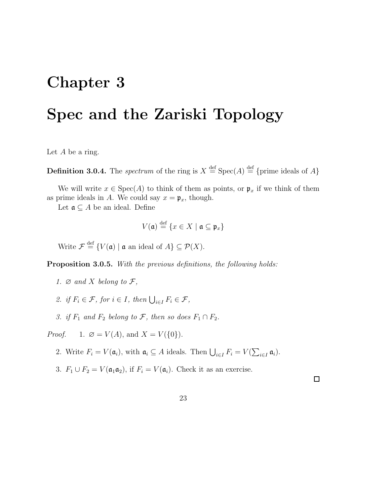## Chapter 3

## Spec and the Zariski Topology

Let  $A$  be a ring.

**Definition 3.0.4.** The *spectrum* of the ring is  $X \stackrel{\text{def}}{=} \text{Spec}(A) \stackrel{\text{def}}{=} \{\text{prime ideals of } A\}$ 

We will write  $x \in \text{Spec}(A)$  to think of them as points, or  $\mathfrak{p}_x$  if we think of them as prime ideals in A. We could say  $x = \mathfrak{p}_x$ , though.

Let  $\mathfrak{a} \subseteq A$  be an ideal. Define

$$
V(\mathfrak{a}) \stackrel{\text{def}}{=} \{x \in X \mid \mathfrak{a} \subseteq \mathfrak{p}_x\}
$$

Write  $\mathcal{F} \stackrel{\text{def}}{=} \{V(\mathfrak{a}) \mid \mathfrak{a} \text{ an ideal of } A\} \subseteq \mathcal{P}(X).$ 

**Proposition 3.0.5.** With the previous definitions, the following holds:

1.  $\varnothing$  and X belong to F,

2. if  $F_i \in \mathcal{F}$ , for  $i \in I$ , then  $\bigcup_{i \in I} F_i \in \mathcal{F}$ ,

3. if  $F_1$  and  $F_2$  belong to  $\mathcal F$ , then so does  $F_1 \cap F_2$ .

*Proof.* 1.  $\varnothing = V(A)$ , and  $X = V({0}).$ 

2. Write  $F_i = V(\mathfrak{a}_i)$ , with  $\mathfrak{a}_i \subseteq A$  ideals. Then  $\bigcup_{i \in I} F_i = V(\sum_{i \in I} \mathfrak{a}_i)$ .

3.  $F_1 \cup F_2 = V(\mathfrak{a}_1 \mathfrak{a}_2)$ , if  $F_i = V(\mathfrak{a}_i)$ . Check it as an exercise.

 $\Box$ 

23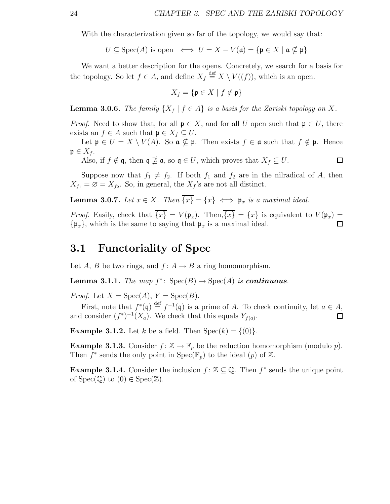$\Box$ 

With the characterization given so far of the topology, we would say that:

$$
U \subseteq \text{Spec}(A) \text{ is open } \iff U = X - V(\mathfrak{a}) = {\mathfrak{p} \in X \mid \mathfrak{a} \nsubseteq \mathfrak{p}}
$$

We want a better description for the opens. Concretely, we search for a basis for the topology. So let  $f \in A$ , and define  $X_f \stackrel{\text{def}}{=} X \setminus V((f))$ , which is an open.

$$
X_f = \{ \mathfrak{p} \in X \mid f \notin \mathfrak{p} \}
$$

**Lemma 3.0.6.** The family  $\{X_f | f \in A\}$  is a basis for the Zariski topology on X.

*Proof.* Need to show that, for all  $\mathfrak{p} \in X$ , and for all U open such that  $\mathfrak{p} \in U$ , there exists an  $f \in A$  such that  $\mathfrak{p} \in X_f \subseteq U$ .

Let  $\mathfrak{p} \in U = X \setminus V(A)$ . So  $\mathfrak{a} \nsubseteq \mathfrak{p}$ . Then exists  $f \in \mathfrak{a}$  such that  $f \notin \mathfrak{p}$ . Hence  $\mathfrak{p} \in X_f$ .

Also, if  $f \notin \mathfrak{q}$ , then  $\mathfrak{q} \not\supseteq \mathfrak{a}$ , so  $\mathfrak{q} \in U$ , which proves that  $X_f \subseteq U$ .

Suppose now that  $f_1 \neq f_2$ . If both  $f_1$  and  $f_2$  are in the nilradical of A, then  $X_{f_1} = \varnothing = X_{f_2}$ . So, in general, the  $X_f$ 's are not all distinct.

**Lemma 3.0.7.** Let  $x \in X$ . Then  $\overline{\{x\}} = \{x\} \iff \mathfrak{p}_x$  is a maximal ideal.

*Proof.* Easily, check that  $\overline{\{x\}} = V(\mathfrak{p}_x)$ . Then,  $\overline{\{x\}} = \{x\}$  is equivalent to  $V(\mathfrak{p}_x) = \{\mathfrak{n}\}\$  which is the same to saying that  $\mathfrak{n}$  is a maximal ideal  ${\mathfrak{p}}_x$ , which is the same to saying that  ${\mathfrak{p}}_x$  is a maximal ideal.

#### 3.1 Functoriality of Spec

Let A, B be two rings, and  $f: A \rightarrow B$  a ring homomorphism.

**Lemma 3.1.1.** The map  $f^*$ :  $Spec(B) \rightarrow Spec(A)$  is **continuous**.

*Proof.* Let  $X = \text{Spec}(A), Y = \text{Spec}(B)$ .

First, note that  $f^*(\mathfrak{q}) \stackrel{\text{def}}{=} f^{-1}(\mathfrak{q})$  is a prime of A. To check continuity, let  $a \in A$ , and consider  $(f^*)^{-1}(X_a)$ . We check that this equals  $Y_{f(a)}$ .

**Example 3.1.2.** Let k be a field. Then  $Spec(k) = \{(0)\}.$ 

**Example 3.1.3.** Consider  $f: \mathbb{Z} \to \mathbb{F}_p$  be the reduction homomorphism (modulo p). Then  $f^*$  sends the only point in  $Spec(\mathbb{F}_p)$  to the ideal  $(p)$  of  $\mathbb{Z}$ .

**Example 3.1.4.** Consider the inclusion  $f: \mathbb{Z} \subseteq \mathbb{Q}$ . Then  $f^*$  sends the unique point of  $Spec(\mathbb{Q})$  to  $(0) \in Spec(\mathbb{Z})$ .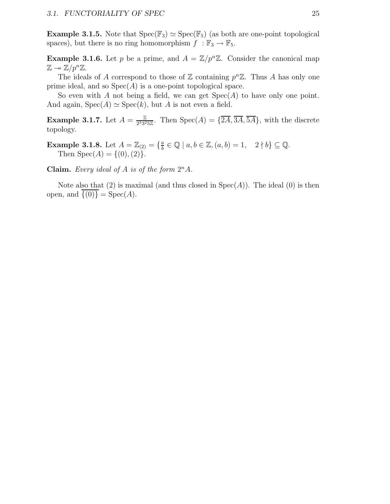**Example 3.1.5.** Note that  $Spec(\mathbb{F}_3) \simeq Spec(\mathbb{F}_5)$  (as both are one-point topological spaces), but there is no ring homomorphism  $f : \mathbb{F}_3 \to \mathbb{F}_5$ .

**Example 3.1.6.** Let p be a prime, and  $A = \mathbb{Z}/p^n\mathbb{Z}$ . Consider the canonical map  $\mathbb{Z} \twoheadrightarrow \mathbb{Z}/p^n\mathbb{Z}.$ 

The ideals of A correspond to those of  $\mathbb Z$  containing  $p^n\mathbb Z$ . Thus A has only one prime ideal, and so  $Spec(A)$  is a one-point topological space.

So even with A not being a field, we can get  $Spec(A)$  to have only one point. And again,  $Spec(A) \simeq Spec(k)$ , but A is not even a field.

**Example 3.1.7.** Let  $A = \frac{Z}{2332}$  $\frac{2}{2^3 3^2 5 \mathbb{Z}}$ . Then  $Spec(A) = \{2A, 3A, 5A\}$ , with the discrete topology.

**Example 3.1.8.** Let  $A = \mathbb{Z}_{(2)} = \{\frac{a}{b}\}$  $\frac{a}{b} \in \mathbb{Q} \mid a, b \in \mathbb{Z}, (a, b) = 1, 2 \nmid b$   $\subseteq \mathbb{Q}.$ Then  $Spec(A) = \{(0), (2)\}.$ 

**Claim.** Every ideal of  $A$  is of the form  $2^n A$ .

Note also that (2) is maximal (and thus closed in  $Spec(A)$ ). The ideal (0) is then open, and  $\overline{\{(0)\}}$  = Spec(A).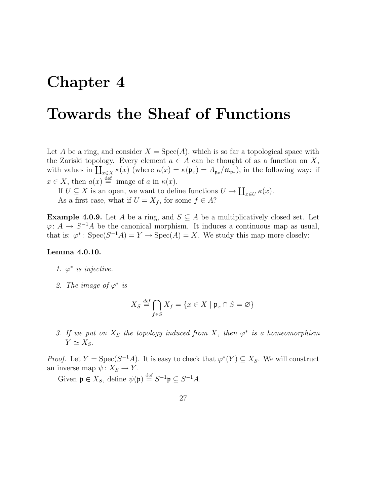## Chapter 4

## Towards the Sheaf of Functions

Let A be a ring, and consider  $X = \text{Spec}(A)$ , which is so far a topological space with the Zariski topology. Every element  $a \in A$  can be thought of as a function on X, with values in  $\prod_{x\in X} \kappa(x)$  (where  $\kappa(x) = \kappa(\mathfrak{p}_x) = A_{\mathfrak{p}_x}/\mathfrak{m}_{\mathfrak{p}_x}$ ), in the following way: if  $x \in X$ , then  $a(x) \stackrel{\text{def}}{=} \text{image of } a \text{ in } \kappa(x)$ .

If  $U \subseteq X$  is an open, we want to define functions  $U \to \coprod_{x \in U} \kappa(x)$ . As a first case, what if  $U = X_f$ , for some  $f \in A$ ?

**Example 4.0.9.** Let A be a ring, and  $S \subseteq A$  be a multiplicatively closed set. Let  $\varphi: A \to S^{-1}A$  be the canonical morphism. It induces a continuous map as usual, that is:  $\varphi^*$ :  $Spec(S^{-1}A) = Y \rightarrow Spec(A) = X$ . We study this map more closely:

#### Lemma 4.0.10.

- 1.  $\varphi^*$  is injective.
- 2. The image of  $\varphi^*$  is

$$
X_S \stackrel{\text{def}}{=} \bigcap_{f \in S} X_f = \{ x \in X \mid \mathfrak{p}_x \cap S = \varnothing \}
$$

3. If we put on  $X<sub>S</sub>$  the topology induced from X, then  $\varphi^*$  is a homeomorphism  $Y \simeq X_S$ .

*Proof.* Let  $Y = \text{Spec}(S^{-1}A)$ . It is easy to check that  $\varphi^*(Y) \subseteq X_S$ . We will construct an inverse map  $\psi \colon X_S \to Y$ .

Given  $\mathfrak{p} \in X_S$ , define  $\psi(\mathfrak{p}) \stackrel{\text{def}}{=} S^{-1} \mathfrak{p} \subseteq S^{-1} A$ .

27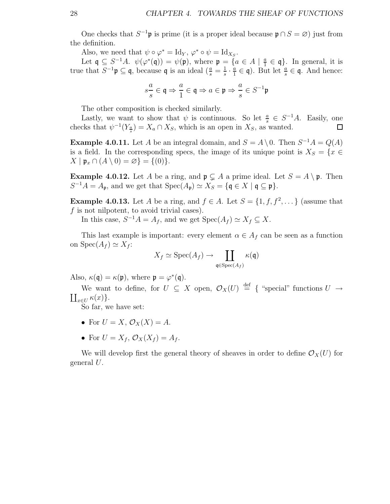One checks that  $S^{-1}$ **p** is prime (it is a proper ideal because  $\mathfrak{p} \cap S = \emptyset$ ) just from the definition.

Also, we need that  $\psi \circ \varphi^* = \text{Id}_Y$ ,  $\varphi^* \circ \psi = \text{Id}_{X_S}$ .

Let  $\mathfrak{q} \subseteq S^{-1}A$ .  $\psi(\varphi^*(\mathfrak{q})) = \psi(\mathfrak{p})$ , where  $\mathfrak{p} = \{a \in A \mid \frac{a}{1} \in \mathfrak{q}\}$ . In general, it is true that  $S^{-1}$ **p**  $\subseteq$  **q**, because **q** is an ideal  $\left(\frac{a}{s} = \frac{1}{s} \cdot \frac{a}{1} \in \mathbf{q}\right)$ . Bu  $rac{1}{s} \cdot \frac{a}{1}$  $\frac{a}{1} \in \mathfrak{q}$ ). But let  $\frac{a}{s} \in \mathfrak{q}$ . And hence:

$$
s\frac{a}{s}\in \mathfrak{q} \Rightarrow \frac{a}{1}\in \mathfrak{q} \Rightarrow a\in \mathfrak{p} \Rightarrow \frac{a}{s}\in S^{-1}\mathfrak{p}
$$

The other composition is checked similarly.

Lastly, we want to show that  $\psi$  is continuous. So let  $\frac{a}{s} \in S^{-1}A$ . Easily, one checks that  $\psi^{-1}(Y_{\frac{a}{s}}) = X_a \cap X_S$ , which is an open in  $X_S$ , as wanted.

**Example 4.0.11.** Let A be an integral domain, and  $S = A \setminus 0$ . Then  $S^{-1}A = Q(A)$ is a field. In the corresponding specs, the image of its unique point is  $X_S = \{x \in$  $X | \mathfrak{p}_x \cap (A \setminus 0) = \varnothing$  = {(0)}.

**Example 4.0.12.** Let A be a ring, and  $\mathfrak{p} \subsetneq A$  a prime ideal. Let  $S = A \setminus \mathfrak{p}$ . Then  $S^{-1}A = A_{\mathfrak{p}}$ , and we get that  $Spec(A_{\mathfrak{p}}) \simeq X_S = {\mathfrak{q}} \in X \mid {\mathfrak{q}} \subseteq {\mathfrak{p}}$ .

**Example 4.0.13.** Let A be a ring, and  $f \in A$ . Let  $S = \{1, f, f^2, \dots\}$  (assume that  $f$  is not nilpotent, to avoid trivial cases).

In this case,  $S^{-1}A = A_f$ , and we get  $Spec(A_f) \simeq X_f \subseteq X$ .

This last example is important: every element  $\alpha \in A_f$  can be seen as a function on  $Spec(A_f) \simeq X_f$ :

$$
X_f \simeq \operatorname{Spec}(A_f) \to \coprod_{\mathfrak{q} \in \operatorname{Spec}(A_f)} \kappa(\mathfrak{q})
$$

Also,  $\kappa(\mathfrak{q}) = \kappa(\mathfrak{p})$ , where  $\mathfrak{p} = \varphi^*(\mathfrak{q})$ .

We want to define, for  $U \subseteq X$  open,  $\mathcal{O}_X(U) \stackrel{\text{def}}{=} \{$  "special" functions  $U \to \coprod_{x \in U} \kappa(x)\}.$  $_{x\in U}\kappa(x)\}.$ 

So far, we have set:

- For  $U = X$ ,  $\mathcal{O}_X(X) = A$ .
- For  $U = X_f$ ,  $\mathcal{O}_X(X_f) = A_f$ .

We will develop first the general theory of sheaves in order to define  $\mathcal{O}_X(U)$  for general U.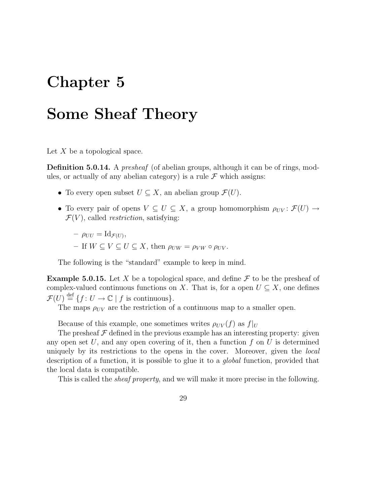# Chapter 5

## Some Sheaf Theory

Let  $X$  be a topological space.

Definition 5.0.14. A *presheaf* (of abelian groups, although it can be of rings, modules, or actually of any abelian category) is a rule  $\mathcal F$  which assigns:

- To every open subset  $U \subseteq X$ , an abelian group  $\mathcal{F}(U)$ .
- To every pair of opens  $V \subseteq U \subseteq X$ , a group homomorphism  $\rho_{UV} : \mathcal{F}(U) \to$  $\mathcal{F}(V)$ , called *restriction*, satisfying:
	- $-\rho_{UU} = \mathrm{Id}_{\mathcal{F}(U)},$
	- If  $W \subset V \subset U \subset X$ , then  $\rho_{UW} = \rho_{VW} \circ \rho_{UV}$ .

The following is the "standard" example to keep in mind.

**Example 5.0.15.** Let X be a topological space, and define  $\mathcal F$  to be the presheaf of complex-valued continuous functions on X. That is, for a open  $U \subseteq X$ , one defines  $\mathcal{F}(U) \stackrel{\text{def}}{=} \{f: U \to \mathbb{C} \mid f \text{ is continuous}\}.$ 

The maps  $\rho_{UV}$  are the restriction of a continuous map to a smaller open.

Because of this example, one sometimes writes  $\rho_{UV}(f)$  as  $f|_U$ 

The presheaf  $\mathcal F$  defined in the previous example has an interesting property: given any open set U, and any open covering of it, then a function  $f$  on U is determined uniquely by its restrictions to the opens in the cover. Moreover, given the *local* description of a function, it is possible to glue it to a global function, provided that the local data is compatible.

This is called the sheaf property, and we will make it more precise in the following.

29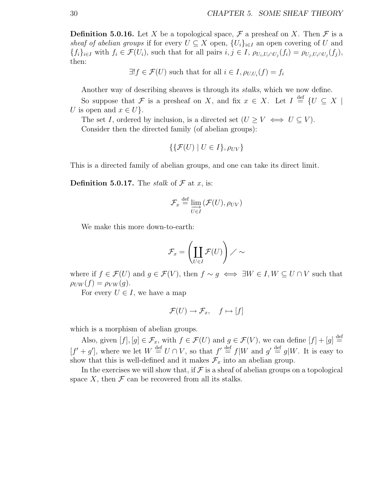**Definition 5.0.16.** Let X be a topological space,  $\mathcal F$  a presheaf on X. Then  $\mathcal F$  is a sheaf of abelian groups if for every  $U \subseteq X$  open,  $\{U_i\}_{i\in I}$  an open covering of U and  $\{f_i\}_{i\in I}$  with  $f_i \in \mathcal{F}(U_i)$ , such that for all pairs  $i, j \in I$ ,  $\rho_{U_i, U_i \cap U_j}(f_i) = \rho_{U_j, U_i \cap U_j}(f_j)$ , then:

 $\exists ! f \in \mathcal{F}(U)$  such that for all  $i \in I$ ,  $\rho_{U,U_i}(f) = f_i$ 

Another way of describing sheaves is through its stalks, which we now define.

So suppose that F is a presheaf on X, and fix  $x \in X$ . Let  $I \stackrel{\text{def}}{=} \{U \subseteq X \mid$ U is open and  $x \in U$ .

The set I, ordered by inclusion, is a directed set  $(U \geq V \iff U \subseteq V)$ . Consider then the directed family (of abelian groups):

$$
\{\{\mathcal{F}(U) \mid U \in I\}, \rho_{UV}\}\
$$

This is a directed family of abelian groups, and one can take its direct limit.

**Definition 5.0.17.** The *stalk* of  $\mathcal F$  at  $x$ , is:

$$
\mathcal{F}_x \stackrel{\text{def}}{=} \varinjlim_{U \in I} (\mathcal{F}(U), \rho_{UV})
$$

We make this more down-to-earth:

$$
\mathcal{F}_x = \left(\coprod_{U \in I} \mathcal{F}(U)\right) \diagup \sim
$$

where if  $f \in \mathcal{F}(U)$  and  $g \in \mathcal{F}(V)$ , then  $f \sim g \iff \exists W \in I, W \subseteq U \cap V$  such that  $\rho_{UW}(f) = \rho_{VW}(g).$ 

For every  $U \in I$ , we have a map

$$
\mathcal{F}(U) \to \mathcal{F}_x, \quad f \mapsto [f]
$$

which is a morphism of abelian groups.

Also, given  $[f], [g] \in \mathcal{F}_x$ , with  $f \in \mathcal{F}(U)$  and  $g \in \mathcal{F}(V)$ , we can define  $[f] + [g] \stackrel{\text{def}}{=}$  $[f' + g']$ , where we let  $W \stackrel{\text{def}}{=} U \cap V$ , so that  $f' \stackrel{\text{def}}{=} f|W$  and  $g' \stackrel{\text{def}}{=} g|W$ . It is easy to show that this is well-defined and it makes  $\mathcal{F}_x$  into an abelian group.

In the exercises we will show that, if  $\mathcal F$  is a sheaf of abelian groups on a topological space X, then  $\mathcal F$  can be recovered from all its stalks.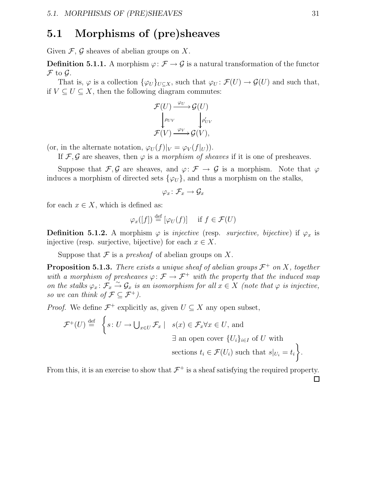## 5.1 Morphisms of (pre)sheaves

Given  $\mathcal{F}, \mathcal{G}$  sheaves of abelian groups on X.

**Definition 5.1.1.** A morphism  $\varphi: \mathcal{F} \to \mathcal{G}$  is a natural transformation of the functor  ${\mathcal F}$  to  ${\mathcal G}$ .

That is,  $\varphi$  is a collection  $\{\varphi_U\}_{U\subseteq X}$ , such that  $\varphi_U : \mathcal{F}(U) \to \mathcal{G}(U)$  and such that, if  $V ⊆ U ⊆ X$ , then the following diagram commutes:

$$
\mathcal{F}(U) \xrightarrow{\varphi_U} \mathcal{G}(U)
$$

$$
\downarrow^{\rho_{UV}} \downarrow^{\rho'_{UV}}
$$

$$
\mathcal{F}(V) \xrightarrow{\varphi_V} \mathcal{G}(V),
$$

(or, in the alternate notation,  $\varphi_U(f)|_V = \varphi_V(f|_U)$ ).

If  $\mathcal{F}, \mathcal{G}$  are sheaves, then  $\varphi$  is a *morphism of sheaves* if it is one of presheaves.

Suppose that F, G are sheaves, and  $\varphi: \mathcal{F} \to \mathcal{G}$  is a morphism. Note that  $\varphi$ induces a morphism of directed sets  $\{\varphi_U\}$ , and thus a morphism on the stalks,

$$
\varphi_x\colon \mathcal{F}_x\to \mathcal{G}_x
$$

for each  $x \in X$ , which is defined as:

$$
\varphi_x([f]) \stackrel{\text{def}}{=} [\varphi_U(f)] \quad \text{if } f \in \mathcal{F}(U)
$$

**Definition 5.1.2.** A morphism  $\varphi$  is *injective* (resp. *surjective*, *bijective*) if  $\varphi_x$  is injective (resp. surjective, bijective) for each  $x \in X$ .

Suppose that  $\mathcal F$  is a *presheaf* of abelian groups on X.

**Proposition 5.1.3.** There exists a unique sheaf of abelian groups  $\mathcal{F}^+$  on X, together with a morphism of presheaves  $\varphi \colon \mathcal{F} \to \mathcal{F}^+$  with the property that the induced map on the stalks  $\varphi_x \colon \tilde{\mathcal{F}}_x \to \mathcal{G}_x$  is an isomorphism for all  $x \in X$  (note that  $\varphi$  is injective, so we can think of  $\mathcal{F} \subseteq \mathcal{F}^+$ ).

*Proof.* We define  $\mathcal{F}^+$  explicitly as, given  $U \subseteq X$  any open subset,

$$
\mathcal{F}^+(U) \stackrel{\text{def}}{=} \begin{cases} s: U \to \bigcup_{x \in U} \mathcal{F}_x \mid & s(x) \in \mathcal{F}_x \forall x \in U, \text{ and} \\ \exists \text{ an open cover } \{U_i\}_{i \in I} \text{ of } U \text{ with} \\ \text{sections } t_i \in \mathcal{F}(U_i) \text{ such that } s|_{U_i} = t_i \end{cases}.
$$

From this, it is an exercise to show that  $\mathcal{F}^+$  is a sheaf satisfying the required property.

 $\Box$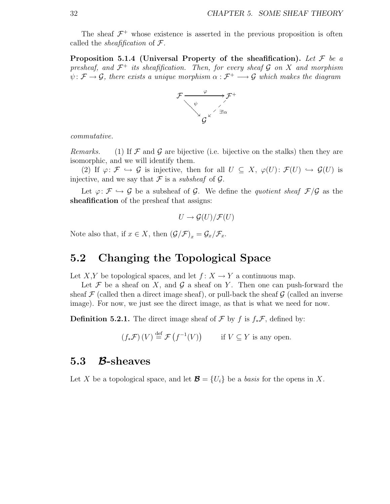The sheaf  $\mathcal{F}^+$  whose existence is asserted in the previous proposition is often called the *sheafification* of  $\mathcal{F}$ .

Proposition 5.1.4 (Universal Property of the sheafification). Let  $\mathcal F$  be a presheaf, and  $\mathcal{F}^+$  its sheafification. Then, for every sheaf  $\mathcal G$  on  $X$  and morphism  $\psi \colon \mathcal{F} \to \mathcal{G}$ , there exists a unique morphism  $\alpha : \mathcal{F}^+ \longrightarrow \mathcal{G}$  which makes the diagram



commutative.

Remarks. (1) If  $\mathcal F$  and  $\mathcal G$  are bijective (i.e. bijective on the stalks) then they are isomorphic, and we will identify them.

(2) If  $\varphi: \mathcal{F} \hookrightarrow \mathcal{G}$  is injective, then for all  $U \subseteq X$ ,  $\varphi(U): \mathcal{F}(U) \hookrightarrow \mathcal{G}(U)$  is injective, and we say that  $\mathcal F$  is a *subsheaf* of  $\mathcal G$ .

Let  $\varphi: \mathcal{F} \hookrightarrow \mathcal{G}$  be a subsheaf of  $\mathcal{G}$ . We define the *quotient sheaf*  $\mathcal{F}/\mathcal{G}$  as the sheafification of the presheaf that assigns:

$$
U \to \mathcal{G}(U)/\mathcal{F}(U)
$$

Note also that, if  $x \in X$ , then  $(\mathcal{G}/\mathcal{F})_x = \mathcal{G}_x/\mathcal{F}_x$ .

#### 5.2 Changing the Topological Space

Let X,Y be topological spaces, and let  $f: X \to Y$  a continuous map.

Let  $\mathcal F$  be a sheaf on X, and  $\mathcal G$  a sheaf on Y. Then one can push-forward the sheaf  $\mathcal F$  (called then a direct image sheaf), or pull-back the sheaf  $\mathcal G$  (called an inverse image). For now, we just see the direct image, as that is what we need for now.

**Definition 5.2.1.** The direct image sheaf of  $\mathcal F$  by f is  $f_*\mathcal F$ , defined by:

$$
(f_*\mathcal{F})(V) \stackrel{\text{def}}{=} \mathcal{F}(f^{-1}(V)) \qquad \text{if } V \subseteq Y \text{ is any open.}
$$

#### 5.3  $B$ -sheaves

Let X be a topological space, and let  $\mathcal{B} = \{U_i\}$  be a basis for the opens in X.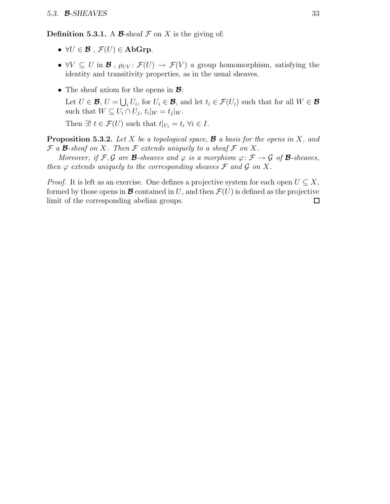**Definition 5.3.1.** A **B**-sheaf  $\mathcal F$  on X is the giving of:

- $\forall U \in \mathcal{B}$ ,  $\mathcal{F}(U) \in \mathbf{AbGrp}$ .
- $\forall V \subseteq U$  in  $\mathcal{B}$ ,  $\rho_{UV} : \mathcal{F}(U) \to \mathcal{F}(V)$  a group homomorphism, satisfying the identity and transitivity properties, as in the usual sheaves.
- The sheaf axiom for the opens in **B**:

Let  $U \in \mathcal{B}$ ,  $U = \bigcup_i U_i$ , for  $U_i \in \mathcal{B}$ , and let  $t_i \in \mathcal{F}(U_i)$  such that for all  $W \in \mathcal{B}$ such that  $W \subseteq U_i \cap U_j$ ,  $t_i|_W = t_j|_W$ .

Then  $\exists ! \ t \in \mathcal{F}(U)$  such that  $t|_{U_i} = t_i \ \forall i \in I$ .

**Proposition 5.3.2.** Let X be a topological space, **B** a basis for the opens in X, and  $\mathcal F$  a **B**-sheaf on X. Then  $\mathcal F$  extends uniquely to a sheaf  $\mathcal F$  on X.

Moreover, if F, G are **B**-sheaves and  $\varphi$  is a morphism  $\varphi \colon \mathcal{F} \to \mathcal{G}$  of **B**-sheaves, then  $\varphi$  extends uniquely to the corresponding sheaves  $\mathcal F$  and  $\mathcal G$  on X.

*Proof.* It is left as an exercise. One defines a projective system for each open  $U \subseteq X$ , formed by those opens in **B** contained in U, and then  $\mathcal{F}(U)$  is defined as the projective limit of the corresponding abelian groups. limit of the corresponding abelian groups.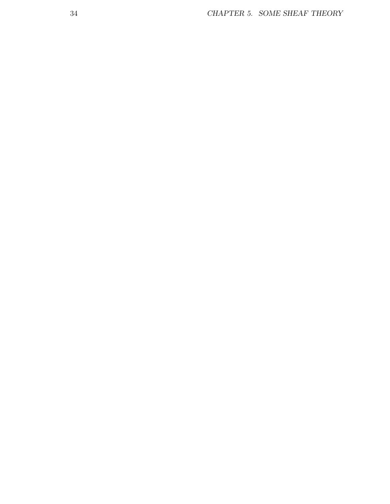CHAPTER 5. SOME SHEAF THEORY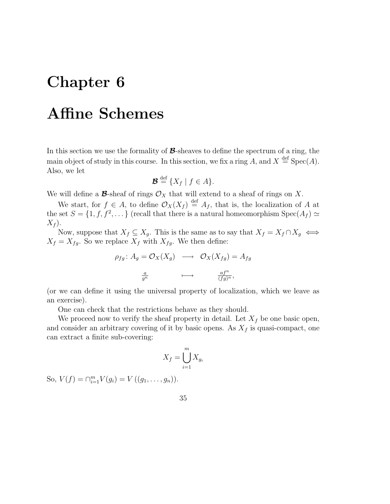# Chapter 6 Affine Schemes

In this section we use the formality of  $\mathcal{B}$ -sheaves to define the spectrum of a ring, the main object of study in this course. In this section, we fix a ring A, and  $X \stackrel{\text{def}}{=} \text{Spec}(A)$ . Also, we let

$$
\mathcal{B} \stackrel{\text{def}}{=} \{X_f \mid f \in A\}.
$$

We will define a  $\mathcal{B}$ -sheaf of rings  $\mathcal{O}_X$  that will extend to a sheaf of rings on X.

We start, for  $f \in A$ , to define  $\mathcal{O}_X(X_f) \stackrel{\text{def}}{=} A_f$ , that is, the localization of A at the set  $S = \{1, f, f^2, \dots\}$  (recall that there is a natural homeomorphism  $Spec(A_f) \simeq$  $X_f$ ).

Now, suppose that  $X_f \subseteq X_g$ . This is the same as to say that  $X_f = X_f \cap X_g \iff$  $X_f = X_{fg}$ . So we replace  $X_f$  with  $X_{fg}$ . We then define:

$$
\rho_{fg} \colon A_g = \mathcal{O}_X(X_g) \longrightarrow \mathcal{O}_X(X_{fg}) = A_{fg}
$$

$$
\xrightarrow{\frac{a}{g^n}} \longmapsto \frac{\frac{af^n}{(fg)^n}}{\frac{af^n}{(fg)^n}},
$$

(or we can define it using the universal property of localization, which we leave as an exercise).

One can check that the restrictions behave as they should.

We proceed now to verify the sheaf property in detail. Let  $X_f$  be one basic open, and consider an arbitrary covering of it by basic opens. As  $X_f$  is quasi-compact, one can extract a finite sub-covering:

$$
X_f = \bigcup_{i=1}^m X_{g_i}
$$

So,  $V(f) = \bigcap_{i=1}^{m} V(g_i) = V((g_1, \ldots, g_n)).$ 

35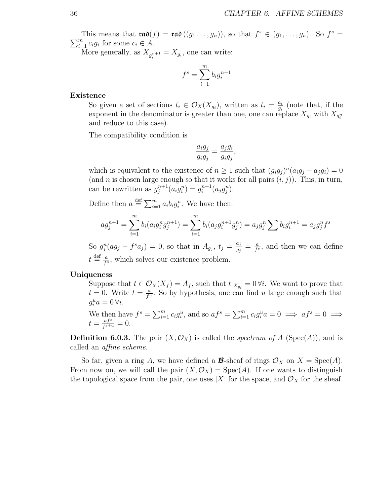This means that  $\mathfrak{rad}(f) = \mathfrak{rad}((g_1 \ldots, g_n)),$  so that  $f^s \in (g_1, \ldots, g_n)$ . So  $f^s =$  $\sum_{i=1}^{m} c_i g_i$  for some  $c_i \in A$ .

More generally, as  $X_{g_i^{n+1}} = X_{g_i}$ , one can write:

$$
f^s = \sum_{i=1}^m b_i g_i^{n+1}
$$

#### Existence

So given a set of sections  $t_i \in \mathcal{O}_X(X_{g_i})$ , written as  $t_i = \frac{a_i}{g_i}$  $\frac{a_i}{g_i}$  (note that, if the exponent in the denominator is greater than one, one can replace  $X_{g_i}$  with  $X_{g_i^n}$ and reduce to this case).

The compatibility condition is

$$
\frac{a_i g_j}{g_i g_j} = \frac{a_j g_i}{g_i g_j},
$$

which is equivalent to the existence of  $n \geq 1$  such that  $(g_i g_j)^n (a_i g_j - a_j g_i) = 0$ (and *n* is chosen large enough so that it works for all pairs  $(i, j)$ ). This, in turn, can be rewritten as  $g_j^{n+1}(a_i g_i^n) = g_i^{n+1}(a_j g_j^n)$ .

Define then  $a \stackrel{\text{def}}{=} \sum_{i=1}^{m} a_i b_i g_i^n$ . We have then:

$$
ag_j^{n+1} = \sum_{i=1}^m b_i (a_i g_i^n g_j^{n+1}) = \sum_{i=1}^m b_i (a_j g_i^{n+1} g_j^n) = a_j g_j^n \sum b_i g_i^{n+1} = a_j g_j^n f^s
$$

So  $g_j^n(ag_j - f^s a_j) = 0$ , so that in  $A_{g_j}$ ,  $t_j = \frac{a_j}{g_j}$  $\frac{a_j}{g_j} = \frac{a}{f^s}$  $\frac{a}{f^s}$ , and then we can define  $t \stackrel{\text{def}}{=} \frac{a}{t}$  $\frac{a}{f^s}$ , which solves our existence problem.

#### Uniqueness

Suppose that  $t \in \mathcal{O}_X(X_f) = A_f$ , such that  $t|_{X_{g_i}} = 0 \forall i$ . We want to prove that  $t=0$ . Write  $t=\frac{a}{f}$  $\frac{a}{f^n}$ . So by hypothesis, one can find u large enough such that  $g_i^u a = 0 \,\forall i.$ 

We then have  $f^s = \sum_{i=1}^m c_i g_i^u$ , and so  $af^s = \sum_{i=1}^m c_i g_i^u a = 0 \implies af^s = 0 \implies$  $t = \frac{af^s}{f^{s+i}}$  $\frac{a f^s}{f^{s+u}} = 0.$ 

**Definition 6.0.3.** The pair  $(X, \mathcal{O}_X)$  is called the *spectrum of A* (Spec(A)), and is called an affine scheme.

So far, given a ring A, we have defined a **B**-sheaf of rings  $\mathcal{O}_X$  on  $X = \text{Spec}(A)$ . From now on, we will call the pair  $(X, \mathcal{O}_X) = \text{Spec}(A)$ . If one wants to distinguish the topological space from the pair, one uses |X| for the space, and  $\mathcal{O}_X$  for the sheaf.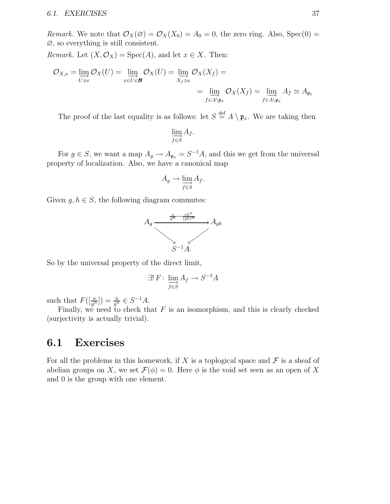*Remark.* We note that  $\mathcal{O}_X(\emptyset) = \mathcal{O}_X(X_0) = A_0 = 0$ , the zero ring. Also, Spec $(0)$  = ∅, so everything is still consistent.

*Remark.* Let  $(X, \mathcal{O}_X)$  = Spec $(A)$ , and let  $x \in X$ . Then:

$$
\mathcal{O}_{X,x} = \varinjlim_{U \ni x} \mathcal{O}_X(U) = \varinjlim_{x \in U \in \mathcal{B}} \mathcal{O}_X(U) = \varinjlim_{X_f \ni x} \mathcal{O}_X(X_f) =
$$

$$
= \varinjlim_{f \in A \setminus \mathfrak{p}_x} \mathcal{O}_X(X_f) = \varinjlim_{f \in A \setminus \mathfrak{p}_x} A_f \simeq A_{\mathfrak{p}_x}
$$

The proof of the last equality is as follows: let  $S \stackrel{\text{def}}{=} A \setminus \mathfrak{p}_x$ . We are taking then

$$
\varinjlim_{f \in S} A_f.
$$

For  $g \in S$ , we want a map  $A_g \to A_{\mathfrak{p}_x} = S^{-1}A$ , and this we get from the universal property of localization. Also, we have a canonical map

$$
A_g \to \varinjlim_{f \in S} A_f.
$$

Given  $g, h \in S$ , the following diagram commutes:



So by the universal property of the direct limit,

$$
\exists! F \colon \varinjlim_{f \in S} A_f \to S^{-1}A
$$

such that  $F\left(\left[\frac{a}{g^n}\right]\right) = \frac{a}{g^n}$  $\frac{a}{g^n} \in S^{-1}A.$ 

Finally, we need to check that  $F$  is an isomorphism, and this is clearly checked (surjectivity is actually trivial).

### 6.1 Exercises

For all the problems in this homework, if X is a toplogical space and  $\mathcal F$  is a sheaf of abelian groups on X, we set  $\mathcal{F}(\phi) = 0$ . Here  $\phi$  is the void set seen as an open of X and 0 is the group with one element.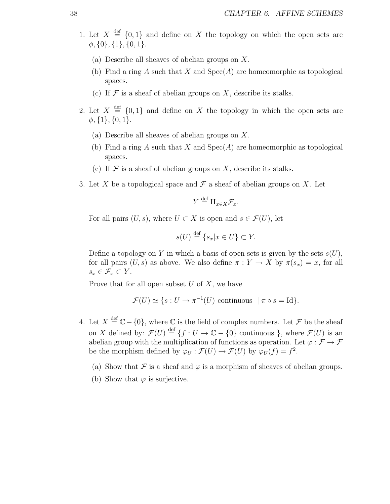- 1. Let  $X \stackrel{\text{def}}{=} \{0,1\}$  and define on X the topology on which the open sets are  $\phi$ ,  $\{0\}$ ,  $\{1\}$ ,  $\{0,1\}$ .
	- (a) Describe all sheaves of abelian groups on X.
	- (b) Find a ring A such that X and  $Spec(A)$  are homeomorphic as topological spaces.
	- (c) If  $\mathcal F$  is a sheaf of abelian groups on X, describe its stalks.
- 2. Let  $X \stackrel{\text{def}}{=} \{0,1\}$  and define on X the topology in which the open sets are  $\phi$ ,  $\{1\}$ ,  $\{0, 1\}$ .
	- (a) Describe all sheaves of abelian groups on X.
	- (b) Find a ring A such that X and  $Spec(A)$  are homeomorphic as topological spaces.
	- (c) If  $\mathcal F$  is a sheaf of abelian groups on X, describe its stalks.
- 3. Let X be a topological space and  $\mathcal F$  a sheaf of abelian groups on X. Let

$$
Y \stackrel{\text{def}}{=} \amalg_{x \in X} \mathcal{F}_x.
$$

For all pairs  $(U, s)$ , where  $U \subset X$  is open and  $s \in \mathcal{F}(U)$ , let

$$
s(U) \stackrel{\text{def}}{=} \{s_x | x \in U\} \subset Y.
$$

Define a topology on Y in which a basis of open sets is given by the sets  $s(U)$ , for all pairs  $(U, s)$  as above. We also define  $\pi : Y \to X$  by  $\pi(s_x) = x$ , for all  $s_x \in \mathcal{F}_x \subset Y$ .

Prove that for all open subset  $U$  of  $X$ , we have

$$
\mathcal{F}(U) \simeq \{s: U \to \pi^{-1}(U) \text{ continuous } \mid \pi \circ s = \text{Id}\}.
$$

- 4. Let  $X \stackrel{\text{def}}{=} \mathbb{C} \{0\}$ , where  $\mathbb{C}$  is the field of complex numbers. Let  $\mathcal{F}$  be the sheaf on X defined by:  $\mathcal{F}(U) \stackrel{\text{def}}{=} \{f: U \to \mathbb{C} - \{0\} \text{ continuous } \}$ , where  $\mathcal{F}(U)$  is an abelian group with the multiplication of functions as operation. Let  $\varphi : \mathcal{F} \to \mathcal{F}$ be the morphism defined by  $\varphi_U : \mathcal{F}(U) \to \mathcal{F}(U)$  by  $\varphi_U(f) = f^2$ .
	- (a) Show that  $\mathcal F$  is a sheaf and  $\varphi$  is a morphism of sheaves of abelian groups.
	- (b) Show that  $\varphi$  is surjective.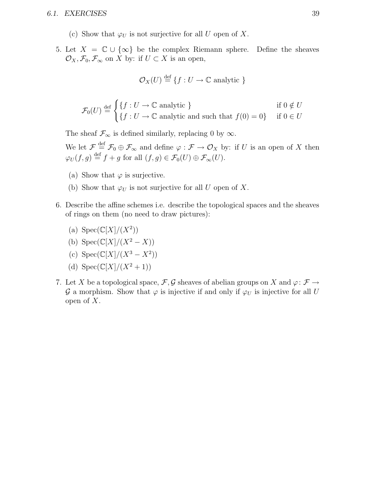#### 6.1. EXERCISES 39

- (c) Show that  $\varphi_U$  is not surjective for all U open of X.
- 5. Let  $X = \mathbb{C} \cup \{\infty\}$  be the complex Riemann sphere. Define the sheaves  $\mathcal{O}_X, \mathcal{F}_0, \mathcal{F}_\infty$  on X by: if  $U \subset X$  is an open,

$$
\mathcal{O}_X(U) \stackrel{\text{def}}{=} \{f: U \to \mathbb{C} \text{ analytic }\}
$$

$$
\mathcal{F}_0(U) \stackrel{\text{def}}{=} \begin{cases} \{f: U \to \mathbb{C} \text{ analytic } \} & \text{if } 0 \notin U \\ \{f: U \to \mathbb{C} \text{ analytic and such that } f(0) = 0 \} & \text{if } 0 \in U \end{cases}
$$

The sheaf  $\mathcal{F}_{\infty}$  is defined similarly, replacing 0 by  $\infty$ .

We let  $\mathcal{F} \stackrel{\text{def}}{=} \mathcal{F}_0 \oplus \mathcal{F}_{\infty}$  and define  $\varphi : \mathcal{F} \to \mathcal{O}_X$  by: if U is an open of X then  $\varphi_U(f,g) \stackrel{\text{def}}{=} f + g \text{ for all } (f,g) \in \mathcal{F}_0(U) \oplus \mathcal{F}_{\infty}(U).$ 

- (a) Show that  $\varphi$  is surjective.
- (b) Show that  $\varphi_U$  is not surjective for all U open of X.
- 6. Describe the affine schemes i.e. describe the topological spaces and the sheaves of rings on them (no need to draw pictures):
	- (a)  $Spec(\mathbb{C}[X]/(X^2))$
	- (b)  $Spec(\mathbb{C}[X]/(X^2-X))$
	- (c)  $Spec(\mathbb{C}[X]/(X^3 X^2))$
	- (d)  $Spec(\mathbb{C}[X]/(X^2+1))$
- 7. Let X be a topological space,  $\mathcal{F}, \mathcal{G}$  sheaves of abelian groups on X and  $\varphi \colon \mathcal{F} \to$ G a morphism. Show that  $\varphi$  is injective if and only if  $\varphi_U$  is injective for all U open of  $X$ .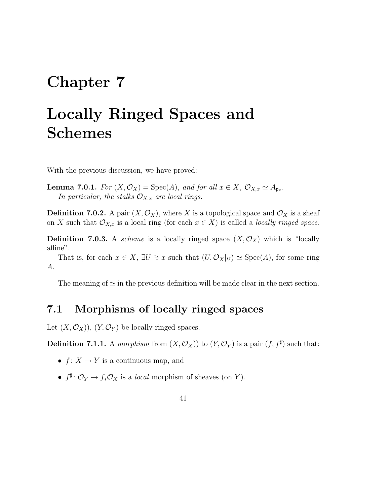# Locally Ringed Spaces and Schemes

With the previous discussion, we have proved:

**Lemma 7.0.1.** For  $(X, \mathcal{O}_X)$  = Spec(A), and for all  $x \in X$ ,  $\mathcal{O}_{X,x} \simeq A_{\mathfrak{p}_x}$ . In particular, the stalks  $\mathcal{O}_{X,x}$  are local rings.

**Definition 7.0.2.** A pair  $(X, \mathcal{O}_X)$ , where X is a topological space and  $\mathcal{O}_X$  is a sheaf on X such that  $\mathcal{O}_{X,x}$  is a local ring (for each  $x \in X$ ) is called a *locally ringed space*.

**Definition 7.0.3.** A scheme is a locally ringed space  $(X, \mathcal{O}_X)$  which is "locally affine".

That is, for each  $x \in X$ ,  $\exists U \ni x$  such that  $(U, \mathcal{O}_X|_U) \simeq \text{Spec}(A)$ , for some ring A.

The meaning of  $\simeq$  in the previous definition will be made clear in the next section.

### 7.1 Morphisms of locally ringed spaces

Let  $(X, \mathcal{O}_X)$ ,  $(Y, \mathcal{O}_Y)$  be locally ringed spaces.

**Definition 7.1.1.** A morphism from  $(X, \mathcal{O}_X)$  to  $(Y, \mathcal{O}_Y)$  is a pair  $(f, f^{\sharp})$  such that:

- $f: X \to Y$  is a continuous map, and
- $f^{\sharp}$ :  $\mathcal{O}_Y \to f_* \mathcal{O}_X$  is a *local* morphism of sheaves (on Y).
	- 41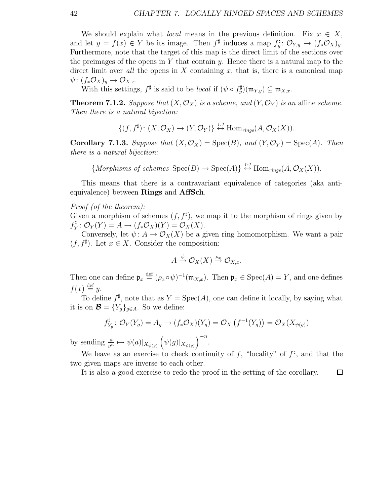We should explain what *local* means in the previous definition. Fix  $x \in X$ , and let  $y = f(x) \in Y$  be its image. Then  $f^{\sharp}$  induces a map  $f^{\sharp}_{y} \colon \mathcal{O}_{Y,y} \to (f_* \mathcal{O}_X)_y$ . Furthermore, note that the target of this map is the direct limit of the sections over the preimages of the opens in Y that contain y. Hence there is a natural map to the direct limit over all the opens in X containing  $x$ , that is, there is a canonical map  $\psi: (f_*\mathcal{O}_X)_y \to \mathcal{O}_{X,x}.$ 

With this settings,  $f^{\sharp}$  is said to be *local* if  $(\psi \circ f_{y}^{\sharp})(\mathfrak{m}_{Y,y}) \subseteq \mathfrak{m}_{X,x}$ .

**Theorem 7.1.2.** Suppose that  $(X, \mathcal{O}_X)$  is a scheme, and  $(Y, \mathcal{O}_Y)$  is an affine scheme. Then there is a natural bijection:

$$
\{(f, f^{\sharp})\colon (X, \mathcal{O}_X) \to (Y, \mathcal{O}_Y)\} \stackrel{1:1}{\leftrightarrow} \text{Hom}_{rings}(A, \mathcal{O}_X(X)).
$$

**Corollary 7.1.3.** Suppose that  $(X, \mathcal{O}_X) = \text{Spec}(B)$ , and  $(Y, \mathcal{O}_Y) = \text{Spec}(A)$ . Then there is a natural bijection:

 ${Morphisms of schemes \text{Spec}(B) \to \text{Spec}(A) } \stackrel{1:1}{\leftrightarrow} \text{Hom}_{rings}(A, \mathcal{O}_X(X)).$ 

This means that there is a contravariant equivalence of categories (aka antiequivalence) between Rings and AffSch.

#### Proof (of the theorem):

Given a morphism of schemes  $(f, f^{\sharp})$ , we map it to the morphism of rings given by  $f_Y^\sharp$  $\mathcal{O}_Y(Y) = A \to (f_* \mathcal{O}_X)(Y) = \mathcal{O}_X(X).$ 

Conversely, let  $\psi: A \to \mathcal{O}_X(X)$  be a given ring homomorphism. We want a pair  $(f, f^{\sharp})$ . Let  $x \in X$ . Consider the composition:

$$
A \xrightarrow{\psi} \mathcal{O}_X(X) \xrightarrow{\rho_x} \mathcal{O}_{X,x}.
$$

Then one can define  $\mathfrak{p}_x \stackrel{\text{def}}{=} (\rho_x \circ \psi)^{-1}(\mathfrak{m}_{X,x})$ . Then  $\mathfrak{p}_x \in \text{Spec}(A) = Y$ , and one defines  $f(x) \stackrel{\text{def}}{=} y.$ 

To define  $f^{\sharp}$ , note that as  $Y = \text{Spec}(A)$ , one can define it locally, by saying what it is on  $\mathcal{B} = \{Y_q\}_{q \in A}$ . So we define:

$$
f_{Y_g}^{\sharp} : \mathcal{O}_Y(Y_g) = A_g \to (f_*\mathcal{O}_X)(Y_g) = \mathcal{O}_X(f^{-1}(Y_g)) = \mathcal{O}_X(X_{\psi(g)})
$$

by sending  $\frac{a}{g^n} \mapsto \psi(a)|_{X_{\psi(g)}} \left( \psi(g)|_{X_{\psi(g)}} \right)^{-n}$ .

We leave as an exercise to check continuity of f, "locality" of  $f^{\sharp}$ , and that the two given maps are inverse to each other.

It is also a good exercise to redo the proof in the setting of the corollary. $\Box$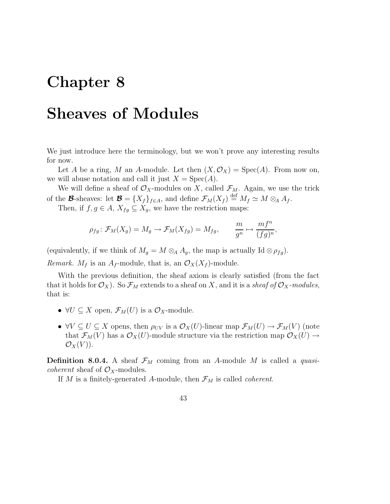# Chapter 8 Sheaves of Modules

We just introduce here the terminology, but we won't prove any interesting results for now.

Let A be a ring, M an A-module. Let then  $(X, \mathcal{O}_X) = \text{Spec}(A)$ . From now on, we will abuse notation and call it just  $X = \text{Spec}(A)$ .

We will define a sheaf of  $\mathcal{O}_X$ -modules on X, called  $\mathcal{F}_M$ . Again, we use the trick of the **B**-sheaves: let  $\mathcal{B} = \{X_f\}_{f \in A}$ , and define  $\mathcal{F}_M(X_f) \stackrel{\text{def}}{=} M_f \simeq M \otimes_A A_f$ .

Then, if  $f, g \in A$ ,  $X_{fg} \subseteq X_g$ , we have the restriction maps:

$$
\rho_{fg}\colon \mathcal{F}_M(X_g) = M_g \to \mathcal{F}_M(X_{fg}) = M_{fg}, \qquad \frac{m}{g^n} \mapsto \frac{mf^n}{(fg)^n},
$$

(equivalently, if we think of  $M_g = M \otimes_A A_g$ , the map is actually Id  $\otimes \rho_{fg}$ ).

Remark.  $M_f$  is an  $A_f$ -module, that is, an  $\mathcal{O}_X(X_f)$ -module.

With the previous definition, the sheaf axiom is clearly satisfied (from the fact that it holds for  $\mathcal{O}_X$ ). So  $\mathcal{F}_M$  extends to a sheaf on X, and it is a sheaf of  $\mathcal{O}_X$ -modules, that is:

- $\forall U \subseteq X$  open,  $\mathcal{F}_M(U)$  is a  $\mathcal{O}_X$ -module.
- $\forall V \subseteq U \subseteq X$  opens, then  $\rho_{UV}$  is a  $\mathcal{O}_X(U)$ -linear map  $\mathcal{F}_M(U) \to \mathcal{F}_M(V)$  (note that  $\mathcal{F}_M(V)$  has a  $\mathcal{O}_X(U)$ -module structure via the restriction map  $\mathcal{O}_X(U) \to$  $\mathcal{O}_X(V)$ ).

**Definition 8.0.4.** A sheaf  $\mathcal{F}_M$  coming from an A-module M is called a *quasicoherent* sheaf of  $\mathcal{O}_X$ -modules.

If M is a finitely-generated A-module, then  $\mathcal{F}_M$  is called *coherent*.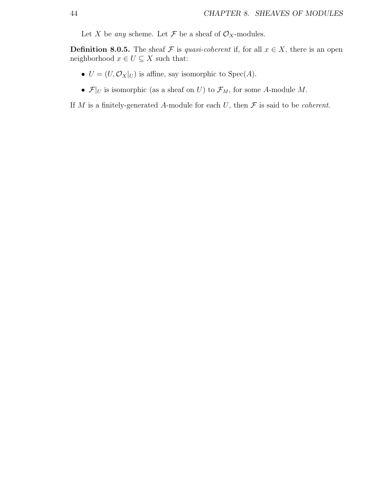Let  $X$  be any scheme. Let  $\mathcal F$  be a sheaf of  $\mathcal O_X\text{-modules.}$ 

**Definition 8.0.5.** The sheaf  $\mathcal F$  is *quasi-coherent* if, for all  $x \in X$ , there is an open neighborhood  $x\in U\subseteq X$  such that:

- $U = (U, \mathcal{O}_X|_U)$  is affine, say isomorphic to  $Spec(A)$ .
- $\mathcal{F}|_U$  is isomorphic (as a sheaf on U) to  $\mathcal{F}_M$ , for some A-module M.

If M is a finitely-generated A-module for each U, then  $\mathcal F$  is said to be *coherent*.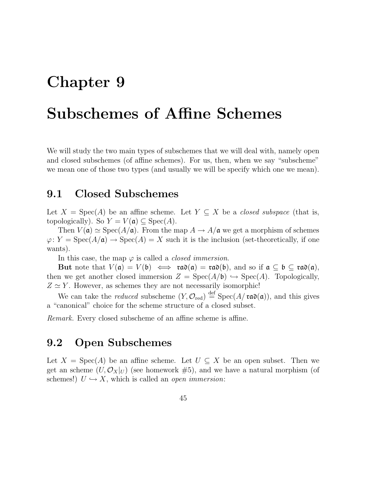## Subschemes of Affine Schemes

We will study the two main types of subschemes that we will deal with, namely open and closed subschemes (of affine schemes). For us, then, when we say "subscheme" we mean one of those two types (and usually we will be specify which one we mean).

### 9.1 Closed Subschemes

Let  $X = \text{Spec}(A)$  be an affine scheme. Let  $Y \subseteq X$  be a *closed subspace* (that is, topologically). So  $Y = V(\mathfrak{a}) \subseteq \text{Spec}(A)$ .

Then  $V(\mathfrak{a}) \simeq \operatorname{Spec}(A/\mathfrak{a})$ . From the map  $A \to A/\mathfrak{a}$  we get a morphism of schemes  $\varphi: Y = \text{Spec}(A/\mathfrak{a}) \to \text{Spec}(A) = X$  such it is the inclusion (set-theoretically, if one wants).

In this case, the map  $\varphi$  is called a *closed immersion*.

But note that  $V(\mathfrak{a}) = V(\mathfrak{b}) \iff \mathfrak{rad}(\mathfrak{a}) = \mathfrak{rad}(\mathfrak{b})$ , and so if  $\mathfrak{a} \subseteq \mathfrak{b} \subseteq \mathfrak{rad}(\mathfrak{a})$ , then we get another closed immersion  $Z = \text{Spec}(A/\mathfrak{b}) \hookrightarrow \text{Spec}(A)$ . Topologically,  $Z \simeq Y$ . However, as schemes they are not necessarily isomorphic!

We can take the *reduced* subscheme  $(Y, \mathcal{O}_{red}) \stackrel{\text{def}}{=} \text{Spec}(A/\text{rad}(\mathfrak{a}))$ , and this gives a "canonical" choice for the scheme structure of a closed subset.

Remark. Every closed subscheme of an affine scheme is affine.

### 9.2 Open Subschemes

Let  $X = \text{Spec}(A)$  be an affine scheme. Let  $U \subseteq X$  be an open subset. Then we get an scheme  $(U, \mathcal{O}_X|_U)$  (see homework #5), and we have a natural morphism (of schemes!)  $U \hookrightarrow X$ , which is called an *open immersion*:

$$
45\,
$$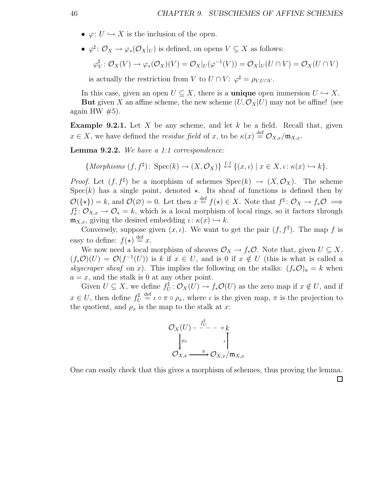- $\varphi: U \hookrightarrow X$  is the inclusion of the open.
- $\varphi^{\sharp} \colon \mathcal{O}_X \to \varphi_*(\mathcal{O}_X|_U)$  is defined, on opens  $V \subseteq X$  as follows:

$$
\varphi_V^{\sharp} : \mathcal{O}_X(V) \to \varphi_*(\mathcal{O}_X)(V) = \mathcal{O}_X|_U(\varphi^{-1}(V)) = \mathcal{O}_X|_U(U \cap V) = \mathcal{O}_X(U \cap V)
$$

is actually the restriction from V to  $U \cap V$ :  $\varphi^{\sharp} = \rho_{V,U \cap V}$ .

In this case, given an open  $U \subseteq X$ , there is a **unique** open immersion  $U \hookrightarrow X$ .

But given X an affine scheme, the new scheme  $(U, \mathcal{O}_X|U)$  may not be affine! (see again HW  $#5$ ).

**Example 9.2.1.** Let  $X$  be any scheme, and let  $k$  be a field. Recall that, given  $x \in X$ , we have defined the *residue field* of x, to be  $\kappa(x) \stackrel{\text{def}}{=} \mathcal{O}_{X,x}/\mathfrak{m}_{X,x}$ .

Lemma 9.2.2. We have a 1:1 correspondence:

 $\{Morphisms (f, f^{\sharp})\colon \operatorname{Spec}(k) \to (X, \mathcal{O}_X)\} \stackrel{1:1}{\leftrightarrow} \{(x, \iota) \mid x \in X, \iota \colon \kappa(x) \hookrightarrow k\}.$ 

*Proof.* Let  $(f, f^{\sharp})$  be a morphism of schemes  $Spec(k) \rightarrow (X, \mathcal{O}_X)$ . The scheme Spec(k) has a single point, denoted  $\star$ . Its sheaf of functions is defined then by  $\mathcal{O}(\{\star\}) = k$ , and  $\mathcal{O}(\varnothing) = 0$ . Let then  $x \stackrel{\text{def}}{=} f(\star) \in X$ . Note that  $f^{\sharp} \colon \mathcal{O}_X \to f_*\mathcal{O} \implies$  $f_x^{\sharp}$ :  $\mathcal{O}_{X,x} \to \mathcal{O}_{\star} = k$ , which is a local morphism of local rings, so it factors through  $\mathfrak{m}_{X,x}$ , giving the desired embedding  $\iota : \kappa(x) \hookrightarrow k$ .

Conversely, suppose given  $(x, \iota)$ . We want to get the pair  $(f, f^{\sharp})$ . The map f is easy to define:  $f(\star) \stackrel{\text{def}}{=} x$ .

We now need a local morphism of sheaves  $\mathcal{O}_X \to f_*\mathcal{O}$ . Note that, given  $U \subseteq X$ ,  $(f_*\mathcal{O})(U) = \mathcal{O}(f^{-1}(U))$  is k if  $x \in U$ , and is 0 if  $x \notin U$  (this is what is called a skyscraper sheaf on x). This implies the following on the stalks:  $(f_*\mathcal{O})_a = k$  when  $a = x$ , and the stalk is 0 at any other point.

Given  $U \subseteq X$ , we define  $f^{\sharp}_U$  $U^{\sharp}$ :  $\mathcal{O}_X(U) \to f_*\mathcal{O}(U)$  as the zero map if  $x \notin U$ , and if  $x \in U$ , then define  $f^{\sharp}_U$  $U_U^{\sharp} \stackrel{\text{def}}{=} \iota \circ \pi \circ \rho_x$ , where  $\iota$  is the given map,  $\pi$  is the projection to the quotient, and  $\rho_x$  is the map to the stalk at x:

$$
\mathcal{O}_X(U) - \frac{f_U^{\sharp}}{\varphi} - \rightarrow k
$$
  

$$
\downarrow \rho_x
$$
  

$$
\mathcal{O}_{X,x} \xrightarrow{\pi} \mathcal{O}_{X,x}/\mathfrak{m}_{X,x}
$$

One can easily check that this gives a morphism of schemes, thus proving the lemma.

 $\Box$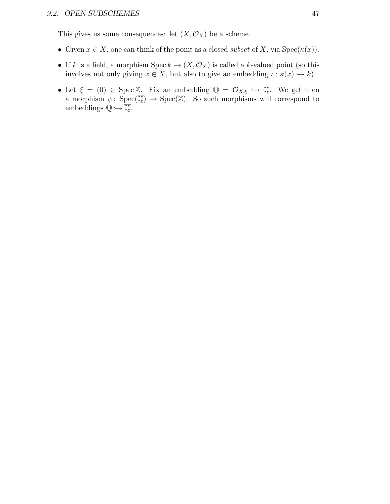This gives us some consequences: let  $(X, \mathcal{O}_X)$  be a scheme.

- Given  $x \in X$ , one can think of the point as a closed *subset* of X, via  $Spec(\kappa(x))$ .
- If k is a field, a morphism  $\operatorname{Spec} k \to (X, \mathcal{O}_X)$  is called a k-valued point (so this involves not only giving  $x \in X$ , but also to give an embedding  $\iota : \kappa(x) \hookrightarrow k$ .
- Let  $\xi = (0) \in \text{Spec } \mathbb{Z}$ . Fix an embedding  $\mathbb{Q} = \mathcal{O}_{X,\xi} \hookrightarrow \overline{\mathbb{Q}}$ . We get then a morphism  $\psi$ : Spec( $\overline{\mathbb{Q}}$ )  $\rightarrow$  Spec( $\mathbb{Z}$ ). So such morphisms will correspond to embeddings  $\mathbb{Q} \hookrightarrow \overline{\mathbb{Q}}$ .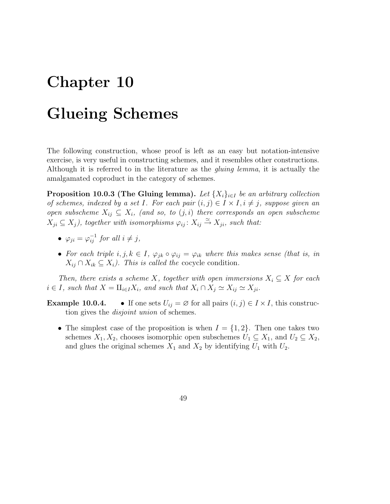# Chapter 10 Glueing Schemes

The following construction, whose proof is left as an easy but notation-intensive exercise, is very useful in constructing schemes, and it resembles other constructions. Although it is referred to in the literature as the *gluing lemma*, it is actually the amalgamated coproduct in the category of schemes.

**Proposition 10.0.3 (The Gluing lemma).** Let  $\{X_i\}_{i\in I}$  be an arbitrary collection of schemes, indexed by a set I. For each pair  $(i, j) \in I \times I$ ,  $i \neq j$ , suppose given an open subscheme  $X_{ij} \subseteq X_i$ , (and so, to  $(j,i)$  there corresponds an open subscheme  $X_{ji} \subseteq X_j$ ), together with isomorphisms  $\varphi_{ij} \colon X_{ij} \stackrel{\simeq}{\to} X_{ji}$ , such that:

- $\varphi_{ji} = \varphi_{ij}^{-1}$  for all  $i \neq j$ ,
- For each triple  $i, j, k \in I$ ,  $\varphi_{jk} \circ \varphi_{ij} = \varphi_{ik}$  where this makes sense (that is, in  $X_{ij} \cap X_{ik} \subseteq X_i$ ). This is called the cocycle condition.

Then, there exists a scheme X, together with open immersions  $X_i \subseteq X$  for each  $i \in I$ , such that  $X = \amalg_{i \in I} X_i$ , and such that  $X_i \cap X_j \simeq X_{ij} \simeq X_{ji}$ .

**Example 10.0.4.** • If one sets  $U_{ij} = \emptyset$  for all pairs  $(i, j) \in I \times I$ , this construction gives the *disjoint union* of schemes.

• The simplest case of the proposition is when  $I = \{1, 2\}$ . Then one takes two schemes  $X_1, X_2$ , chooses isomorphic open subschemes  $U_1 \subseteq X_1$ , and  $U_2 \subseteq X_2$ , and glues the original schemes  $X_1$  and  $X_2$  by identifying  $U_1$  with  $U_2$ .

49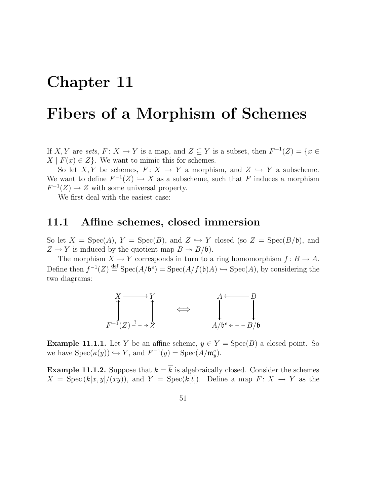## Fibers of a Morphism of Schemes

If X, Y are sets,  $F: X \to Y$  is a map, and  $Z \subseteq Y$  is a subset, then  $F^{-1}(Z) = \{x \in Z : |f(x)| \leq 1\}$  $X \mid F(x) \in Z$ . We want to mimic this for schemes.

So let X, Y be schemes,  $F: X \to Y$  a morphism, and  $Z \hookrightarrow Y$  a subscheme. We want to define  $F^{-1}(Z) \hookrightarrow X$  as a subscheme, such that F induces a morphism  $F^{-1}(Z) \to Z$  with some universal property.

We first deal with the easiest case:

### 11.1 Affine schemes, closed immersion

So let  $X = \text{Spec}(A), Y = \text{Spec}(B),$  and  $Z \hookrightarrow Y$  closed (so  $Z = \text{Spec}(B/\mathfrak{b})$ , and  $Z \to Y$  is induced by the quotient map  $B \to B/\mathfrak{b}$ .

The morphism  $X \to Y$  corresponds in turn to a ring homomorphism  $f: B \to A$ . Define then  $f^{-1}(Z) \stackrel{\text{def}}{=} \text{Spec}(A/\mathfrak{b}^e) = \text{Spec}(A/f(\mathfrak{b})A) \hookrightarrow \text{Spec}(A)$ , by considering the two diagrams:



**Example 11.1.1.** Let Y be an affine scheme,  $y \in Y = \text{Spec}(B)$  a closed point. So we have  $Spec(\kappa(y)) \hookrightarrow Y$ , and  $F^{-1}(y) = Spec(A/\mathfrak{m}_y^e)$ .

**Example 11.1.2.** Suppose that  $k = \overline{k}$  is algebraically closed. Consider the schemes  $X = \text{Spec}(k[x, y]/(xy))$ , and  $Y = \text{Spec}(k[t])$ . Define a map  $F: X \to Y$  as the

51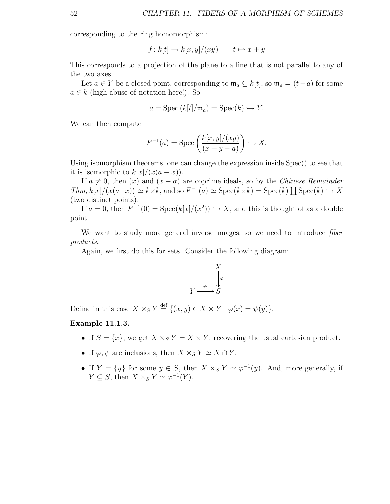corresponding to the ring homomorphism:

$$
f: k[t] \to k[x, y]/(xy) \qquad t \mapsto x + y
$$

This corresponds to a projection of the plane to a line that is not parallel to any of the two axes.

Let  $a \in Y$  be a closed point, corresponding to  $\mathfrak{m}_a \subseteq k[t]$ , so  $\mathfrak{m}_a = (t-a)$  for some  $a \in k$  (high abuse of notation here!). So

$$
a = \operatorname{Spec}\left(k[t]/\mathfrak{m}_a\right) = \operatorname{Spec}(k) \hookrightarrow Y.
$$

We can then compute

$$
F^{-1}(a) = \operatorname{Spec} \left( \frac{k[x, y]/(xy)}{(\overline{x} + \overline{y} - a)} \right) \hookrightarrow X.
$$

Using isomorphism theorems, one can change the expression inside Spec() to see that it is isomorphic to  $k[x]/(x(a-x))$ .

If  $a \neq 0$ , then  $(x)$  and  $(x - a)$  are coprime ideals, so by the *Chinese Remainder* Thm,  $k[x]/(x(a-x)) \simeq k \times k$ , and so  $F^{-1}(a) \simeq \text{Spec}(k \times k) = \text{Spec}(k) \coprod \text{Spec}(k) \hookrightarrow X$ (two distinct points).

If  $a = 0$ , then  $F^{-1}(0) = \text{Spec}(k[x]/(x^2)) \hookrightarrow X$ , and this is thought of as a double point.

We want to study more general inverse images, so we need to introduce *fiber* products.

Again, we first do this for sets. Consider the following diagram:

$$
Y \xrightarrow{\psi} S
$$
\n
$$
Y \xrightarrow{\psi} S
$$

Define in this case  $X \times_S Y \stackrel{\text{def}}{=} \{(x, y) \in X \times Y \mid \varphi(x) = \psi(y)\}.$ 

#### Example 11.1.3.

- If  $S = \{x\}$ , we get  $X \times_S Y = X \times Y$ , recovering the usual cartesian product.
- If  $\varphi, \psi$  are inclusions, then  $X \times_S Y \simeq X \cap Y$ .
- If  $Y = \{y\}$  for some  $y \in S$ , then  $X \times_S Y \simeq \varphi^{-1}(y)$ . And, more generally, if  $Y \subseteq S$ , then  $X \times_S Y \simeq \varphi^{-1}(Y)$ .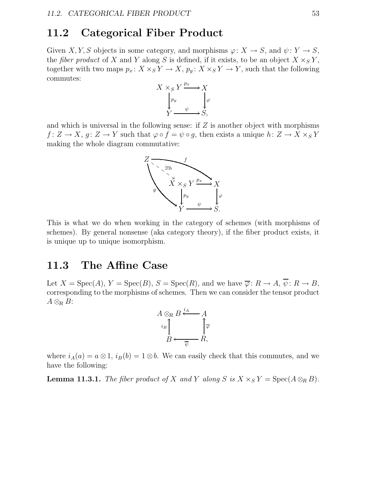### 11.2 Categorical Fiber Product

Given X, Y, S objects in some category, and morphisms  $\varphi: X \to S$ , and  $\psi: Y \to S$ , the *fiber product* of X and Y along S is defined, if it exists, to be an object  $X \times_S Y$ , together with two maps  $p_x \colon X \times_S Y \to X$ ,  $p_y \colon X \times_S Y \to Y$ , such that the following commutes:

$$
X \times_S Y \xrightarrow{p_x} X
$$
  
\n
$$
\downarrow p_y
$$
  
\n
$$
\downarrow \varphi
$$
  
\n
$$
\downarrow \varphi
$$
  
\n
$$
\downarrow \varphi
$$
  
\n
$$
\downarrow \varphi
$$
  
\n
$$
\downarrow \varphi
$$
  
\n
$$
\downarrow \varphi
$$
  
\n
$$
\downarrow \varphi
$$
  
\n
$$
\downarrow \varphi
$$
  
\n
$$
\downarrow \varphi
$$
  
\n
$$
\downarrow \varphi
$$

and which is universal in the following sense: if  $Z$  is another object with morphisms  $f: Z \to X$ ,  $g: Z \to Y$  such that  $\varphi \circ f = \psi \circ g$ , then exists a unique  $h: Z \to X \times_S Y$ making the whole diagram commutative:



This is what we do when working in the category of schemes (with morphisms of schemes). By general nonsense (aka category theory), if the fiber product exists, it is unique up to unique isomorphism.

### 11.3 The Affine Case

Let  $X = \text{Spec}(A), Y = \text{Spec}(B), S = \text{Spec}(R)$ , and we have  $\overline{\varphi} \colon R \to A, \overline{\psi} \colon R \to B$ , corresponding to the morphisms of schemes. Then we can consider the tensor product  $A \otimes_R B$ :

$$
A \otimes_R B \xleftarrow{i_A} A
$$
  

$$
i_B \uparrow \qquad \qquad \uparrow \varphi
$$
  

$$
B \longleftarrow \frac{1}{\overline{\psi}} R,
$$

where  $i_A(a) = a \otimes 1$ ,  $i_B(b) = 1 \otimes b$ . We can easily check that this commutes, and we have the following:

**Lemma 11.3.1.** The fiber product of X and Y along S is  $X \times_S Y = \text{Spec}(A \otimes_R B)$ .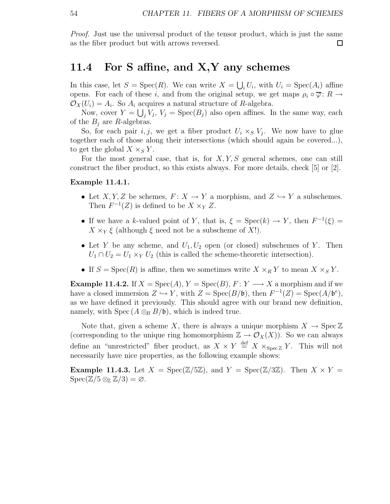Proof. Just use the universal product of the tensor product, which is just the same as the fiber product but with arrows reversed.  $\Box$ 

### 11.4 For S affine, and X,Y any schemes

In this case, let  $S = \text{Spec}(R)$ . We can write  $X = \bigcup_i U_i$ , with  $U_i = \text{Spec}(A_i)$  affine opens. For each of these i, and from the original setup, we get maps  $\rho_i \circ \overline{\varphi} : R \to$  $\mathcal{O}_X(U_i) = A_i$ . So  $A_i$  acquires a natural structure of R-algebra.

Now, cover  $Y = \bigcup_j V_j$ ,  $V_j = \text{Spec}(B_j)$  also open affines. In the same way, each of the  $B_j$  are R-algebras.

So, for each pair  $i, j$ , we get a fiber product  $U_i \times_S V_j$ . We now have to glue together each of those along their intersections (which should again be covered...), to get the global  $X \times_S Y$ .

For the most general case, that is, for  $X, Y, S$  general schemes, one can still construct the fiber product, so this exists always. For more details, check [5] or [2].

#### Example 11.4.1.

- Let X, Y, Z be schemes,  $F: X \to Y$  a morphism, and  $Z \hookrightarrow Y$  a subschemes. Then  $F^{-1}(Z)$  is defined to be  $X \times_Y Z$ .
- If we have a k-valued point of Y, that is,  $\xi = \text{Spec}(k) \to Y$ , then  $F^{-1}(\xi) =$  $X \times_Y \xi$  (although  $\xi$  need not be a subscheme of X!).
- Let Y be any scheme, and  $U_1, U_2$  open (or closed) subschemes of Y. Then  $U_1 \cap U_2 = U_1 \times_Y U_2$  (this is called the scheme-theoretic intersection).
- If  $S = \text{Spec}(R)$  is affine, then we sometimes write  $X \times_R Y$  to mean  $X \times_S Y$ .

**Example 11.4.2.** If  $X = \text{Spec}(A)$ ,  $Y = \text{Spec}(B)$ ,  $F: Y \longrightarrow X$  a morphism and if we have a closed immersion  $Z \hookrightarrow Y$ , with  $Z = \text{Spec}(B/\mathfrak{b})$ , then  $F^{-1}(Z) = \text{Spec}(A/\mathfrak{b}^e)$ , as we have defined it previously. This should agree with our brand new definition, namely, with Spec  $(A \otimes_B B/\mathfrak{b})$ , which is indeed true.

Note that, given a scheme X, there is always a unique morphism  $X \to \text{Spec } \mathbb{Z}$ (corresponding to the unique ring homomorphism  $\mathbb{Z} \to \mathcal{O}_X(X)$ ). So we can always define an "unrestricted" fiber product, as  $X \times Y \stackrel{\text{def}}{=} X \times_{\text{Spec } Z} Y$ . This will not necessarily have nice properties, as the following example shows:

**Example 11.4.3.** Let  $X = \text{Spec}(\mathbb{Z}/5\mathbb{Z})$ , and  $Y = \text{Spec}(\mathbb{Z}/3\mathbb{Z})$ . Then  $X \times Y =$  $Spec(\mathbb{Z}/5 \otimes_{\mathbb{Z}} \mathbb{Z}/3) = \varnothing.$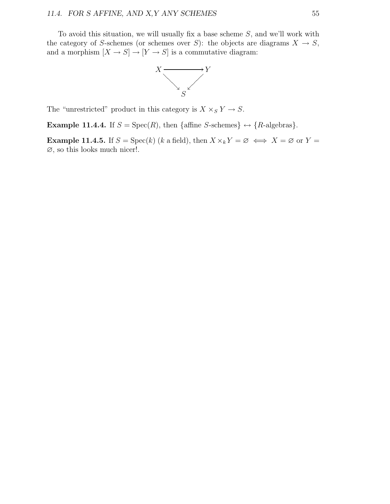To avoid this situation, we will usually fix a base scheme S, and we'll work with the category of S-schemes (or schemes over S): the objects are diagrams  $X \to S$ , and a morphism  $[X \to S] \to [Y \to S]$  is a commutative diagram:



The "unrestricted" product in this category is  $X \times_S Y \to S$ .

**Example 11.4.4.** If  $S = \text{Spec}(R)$ , then  $\{\text{affine } S\text{-schemes}\} \leftrightarrow \{R\text{-algebras}\}.$ 

**Example 11.4.5.** If  $S = \text{Spec}(k)$  (k a field), then  $X \times_k Y = \emptyset \iff X = \emptyset$  or  $Y =$  $\varnothing$ , so this looks much nicer!.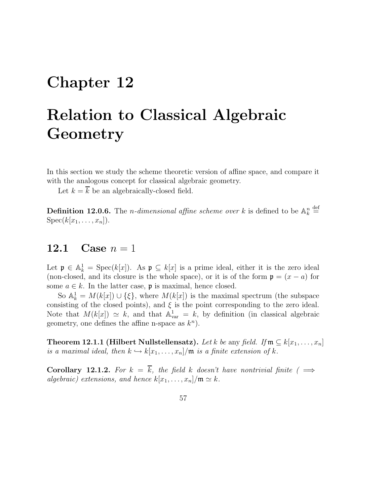# Relation to Classical Algebraic Geometry

In this section we study the scheme theoretic version of affine space, and compare it with the analogous concept for classical algebraic geometry.

Let  $k = \overline{k}$  be an algebraically-closed field.

**Definition 12.0.6.** The *n*-dimensional affine scheme over k is defined to be  $\mathbb{A}_k^n \stackrel{\text{def}}{=}$  $Spec(k[x_1, \ldots, x_n]).$ 

### 12.1 Case  $n = 1$

Let  $\mathfrak{p} \in \mathbb{A}^1_k = \text{Spec}(k[x])$ . As  $\mathfrak{p} \subseteq k[x]$  is a prime ideal, either it is the zero ideal (non-closed, and its closure is the whole space), or it is of the form  $\mathfrak{p} = (x - a)$  for some  $a \in k$ . In the latter case, **p** is maximal, hence closed.

So  $\mathbb{A}_k^1 = M(k[x]) \cup \{\xi\}$ , where  $M(k[x])$  is the maximal spectrum (the subspace consisting of the closed points), and  $\xi$  is the point corresponding to the zero ideal. Note that  $M(k[x]) \simeq k$ , and that  $\mathbb{A}^1_{\text{var}} = k$ , by definition (in classical algebraic geometry, one defines the affine n-space as  $k^n$ ).

Theorem 12.1.1 (Hilbert Nullstellensatz). Let k be any field. If  $m \subseteq k[x_1, \ldots, x_n]$ is a maximal ideal, then  $k \hookrightarrow k[x_1, \ldots, x_n]/\mathfrak{m}$  is a finite extension of k.

Corollary 12.1.2. For  $k = \overline{k}$ , the field k doesn't have nontrivial finite (  $\implies$ algebraic) extensions, and hence  $k[x_1, \ldots, x_n]/m \simeq k$ .

57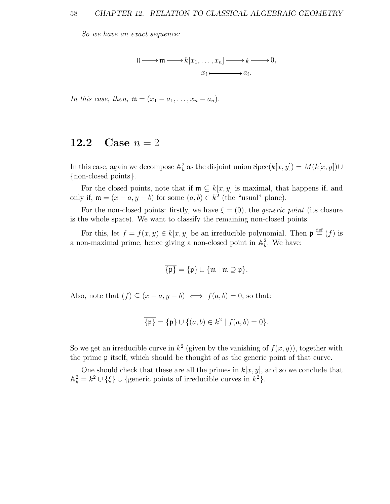So we have an exact sequence:

$$
0 \longrightarrow \mathfrak{m} \longrightarrow k[x_1, \dots, x_n] \longrightarrow k \longrightarrow 0,
$$

$$
x_i \longmapsto a_i.
$$

In this case, then,  $\mathfrak{m} = (x_1 - a_1, \ldots, x_n - a_n).$ 

### 12.2 Case  $n = 2$

In this case, again we decompose  $\mathbb{A}_k^2$  as the disjoint union  $\mathrm{Spec}(k[x,y]) = M(k[x,y]) \cup$ {non-closed points}.

For the closed points, note that if  $\mathfrak{m} \subseteq k[x, y]$  is maximal, that happens if, and only if,  $\mathfrak{m} = (x - a, y - b)$  for some  $(a, b) \in k^2$  (the "usual" plane).

For the non-closed points: firstly, we have  $\xi = (0)$ , the *generic point* (its closure is the whole space). We want to classify the remaining non-closed points.

For this, let  $f = f(x, y) \in k[x, y]$  be an irreducible polynomial. Then  $\mathfrak{p} \stackrel{\text{def}}{=} (f)$  is a non-maximal prime, hence giving a non-closed point in  $\mathbb{A}_k^2$ . We have:

$$
\overline{\{\mathfrak{p}\}} = \{\mathfrak{p}\} \cup \{\mathfrak{m} \mid \mathfrak{m} \supseteq \mathfrak{p}\}.
$$

Also, note that  $(f) \subseteq (x - a, y - b) \iff f(a, b) = 0$ , so that:

$$
\overline{\{\mathfrak{p}\}} = \{\mathfrak{p}\} \cup \{(a,b) \in k^2 \mid f(a,b) = 0\}.
$$

So we get an irreducible curve in  $k^2$  (given by the vanishing of  $f(x, y)$ ), together with the prime p itself, which should be thought of as the generic point of that curve.

One should check that these are all the primes in  $k[x, y]$ , and so we conclude that  $\mathbb{A}_k^2 = k^2 \cup {\{\xi\}} \cup {\text{generic points of irreducible curves in } k^2}.$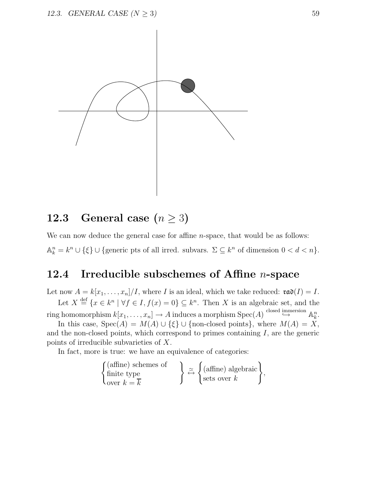

### 12.3 General case  $(n \ge 3)$

We can now deduce the general case for affine *n*-space, that would be as follows:  $\mathbb{A}_k^n = k^n \cup \{\xi\} \cup \{\text{generic pts of all irred. subvars. } \Sigma \subseteq k^n \text{ of dimension } 0 < d < n\}.$ 

### 12.4 Irreducible subschemes of Affine  $n$ -space

Let now  $A = k[x_1, \ldots, x_n]/I$ , where I is an ideal, which we take reduced:  $\mathfrak{rad}(I) = I$ . Let  $X \stackrel{\text{def}}{=} \{x \in k^n \mid \forall f \in I, f(x) = 0\} \subseteq k^n$ . Then X is an algebraic set, and the

ring homomorphism  $k[x_1, \ldots, x_n] \to A$  induces a morphism  $Spec(A) \stackrel{closed \text{ immersion}}{\rightarrow} \mathbb{A}_k^n$ . In this case,  $Spec(A) = M(A) \cup \{\xi\} \cup \{non-closed points\}$ , where  $M(A) = X$ ,

and the non-closed points, which correspond to primes containing  $I$ , are the generic points of irreducible subvarieties of X.

In fact, more is true: we have an equivalence of categories:

$$
\left\{\begin{matrix}\n(\text{affine}) \text{ schemes of} \\
\text{finite type} \\
\text{over } k = \overline{k}\n\end{matrix}\right\} \xrightarrow{\simeq} \left\{\begin{matrix}\n(\text{affine}) \text{ algebraic} \\
\text{sets over } k\n\end{matrix}\right\},
$$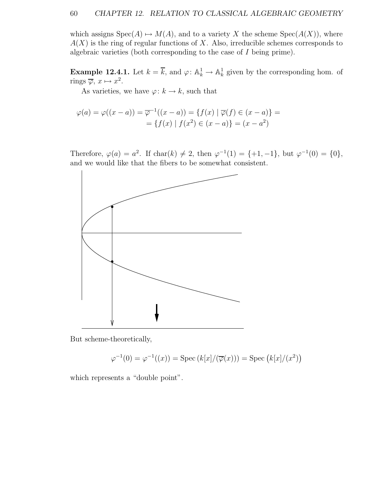which assigns  $Spec(A) \mapsto M(A)$ , and to a variety X the scheme  $Spec(A(X))$ , where  $A(X)$  is the ring of regular functions of X. Also, irreducible schemes corresponds to algebraic varieties (both corresponding to the case of I being prime).

**Example 12.4.1.** Let  $k = \overline{k}$ , and  $\varphi: \mathbb{A}^1_k \to \mathbb{A}^1_k$  given by the corresponding hom. of rings  $\overline{\varphi}$ ,  $x \mapsto x^2$ .

As varieties, we have  $\varphi: k \to k$ , such that

$$
\varphi(a) = \varphi((x - a)) = \overline{\varphi}^{-1}((x - a)) = \{f(x) \mid \overline{\varphi}(f) \in (x - a)\} = \{f(x) \mid f(x^2) \in (x - a)\} = (x - a^2)
$$

Therefore,  $\varphi(a) = a^2$ . If  $char(k) \neq 2$ , then  $\varphi^{-1}(1) = \{+1, -1\}$ , but  $\varphi^{-1}(0) = \{0\}$ , and we would like that the fibers to be somewhat consistent.



But scheme-theoretically,

$$
\varphi^{-1}(0) = \varphi^{-1}((x)) = \operatorname{Spec} (k[x]/(\overline{\varphi}(x))) = \operatorname{Spec} (k[x]/(x^2))
$$

which represents a "double point".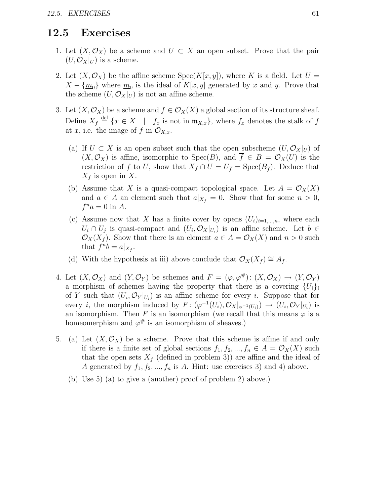### 12.5 Exercises

- 1. Let  $(X, \mathcal{O}_X)$  be a scheme and  $U \subset X$  an open subset. Prove that the pair  $(U, \mathcal{O}_X|_U)$  is a scheme.
- 2. Let  $(X, \mathcal{O}_X)$  be the affine scheme  $Spec(K[x, y])$ , where K is a field. Let  $U =$  $X - \{m_0\}$  where  $m_0$  is the ideal of  $K[x, y]$  generated by x and y. Prove that the scheme  $(U, \mathcal{O}_X|_U)$  is not an affine scheme.
- 3. Let  $(X, \mathcal{O}_X)$  be a scheme and  $f \in \mathcal{O}_X(X)$  a global section of its structure sheaf. Define  $X_f \stackrel{\text{def}}{=} \{x \in X \mid f_x \text{ is not in } \mathfrak{m}_{X,x}\}\,$ , where  $f_x$  denotes the stalk of f at x, i.e. the image of f in  $\mathcal{O}_{X,x}$ .
	- (a) If  $U \subset X$  is an open subset such that the open subscheme  $(U, \mathcal{O}_X|_U)$  of  $(X, \mathcal{O}_X)$  is affine, isomorphic to Spec $(B)$ , and  $\overline{f} \in B = \mathcal{O}_X(U)$  is the restriction of f to U, show that  $X_f \cap U = U_{\overline{f}} = \text{Spec}(B_{\overline{f}})$ . Deduce that  $X_f$  is open in X.
	- (b) Assume that X is a quasi-compact topological space. Let  $A = \mathcal{O}_X(X)$ and  $a \in A$  an element such that  $a|_{X_f} = 0$ . Show that for some  $n > 0$ ,  $f^n a = 0$  in A.
	- (c) Assume now that X has a finite cover by opens  $(U_i)_{i=1,\ldots,n}$ , where each  $U_i \cap U_j$  is quasi-compact and  $(U_i, \mathcal{O}_X|_{U_i})$  is an affine scheme. Let  $b \in$  $\mathcal{O}_X(X_f)$ . Show that there is an element  $a \in A = \mathcal{O}_X(X)$  and  $n > 0$  such that  $f^nb = a|_{X_f}$ .
	- (d) With the hypothesis at iii) above conclude that  $\mathcal{O}_X(X_f) \cong A_f$ .
- 4. Let  $(X, \mathcal{O}_X)$  and  $(Y, \mathcal{O}_Y)$  be schemes and  $F = (\varphi, \varphi^{\#}) \colon (X, \mathcal{O}_X) \to (Y, \mathcal{O}_Y)$ a morphism of schemes having the property that there is a covering  $\{U_i\}_i$ of Y such that  $(U_i, \mathcal{O}_Y|_{U_i})$  is an affine scheme for every i. Suppose that for every *i*, the morphism induced by  $F: (\varphi^{-1}(U_i), \mathcal{O}_X|_{\varphi^{-1}(U_i)}) \to (U_i, \mathcal{O}_Y|_{U_i})$  is an isomorphism. Then F is an isomorphism (we recall that this means  $\varphi$  is a homeomerphism and  $\varphi^{\#}$  is an isomorphism of sheaves.)
- 5. (a) Let  $(X, \mathcal{O}_X)$  be a scheme. Prove that this scheme is affine if and only if there is a finite set of global sections  $f_1, f_2, ..., f_n \in A = \mathcal{O}_X(X)$  such that the open sets  $X_f$  (defined in problem 3)) are affine and the ideal of A generated by  $f_1, f_2, ..., f_n$  is A. Hint: use exercises 3) and 4) above.
	- (b) Use 5) (a) to give a (another) proof of problem 2) above.)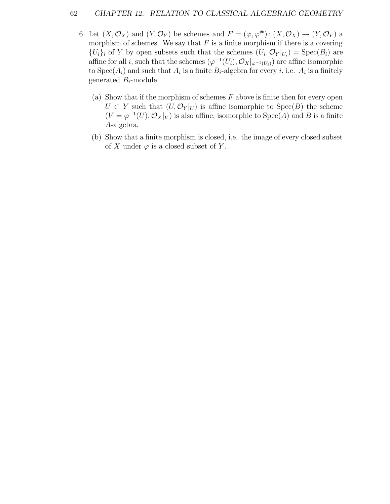- 6. Let  $(X, \mathcal{O}_X)$  and  $(Y, \mathcal{O}_Y)$  be schemes and  $F = (\varphi, \varphi^{\#}) \colon (X, \mathcal{O}_X) \to (Y, \mathcal{O}_Y)$  a morphism of schemes. We say that  $F$  is a finite morphism if there is a covering  $\{U_i\}_i$  of Y by open subsets such that the schemes  $(U_i, \mathcal{O}_Y|_{U_i}) = \text{Spec}(B_i)$  are affine for all *i*, such that the schemes  $(\varphi^{-1}(U_i), \mathcal{O}_X|_{\varphi^{-1}(U_i)})$  are affine isomorphic to  $Spec(A_i)$  and such that  $A_i$  is a finite  $B_i$ -algebra for every i, i.e.  $A_i$  is a finitely generated  $B_i$ -module.
	- (a) Show that if the morphism of schemes  $F$  above is finite then for every open  $U \subset Y$  such that  $(U, \mathcal{O}_Y|_U)$  is affine isomorphic to  $Spec(B)$  the scheme  $(V = \varphi^{-1}(U), \mathcal{O}_X|_V)$  is also affine, isomorphic to  $Spec(A)$  and B is a finite A-algebra.
	- (b) Show that a finite morphism is closed, i.e. the image of every closed subset of X under  $\varphi$  is a closed subset of Y.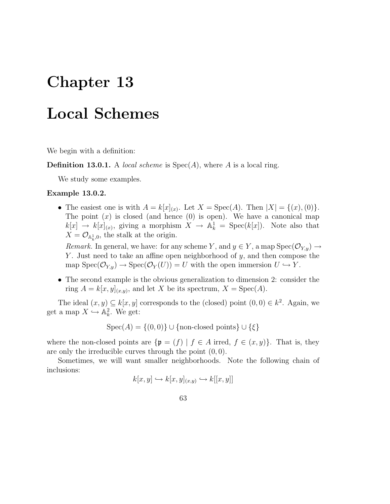## Local Schemes

We begin with a definition:

**Definition 13.0.1.** A local scheme is  $Spec(A)$ , where A is a local ring.

We study some examples.

#### Example 13.0.2.

• The easiest one is with  $A = k[x]_{(x)}$ . Let  $X = \text{Spec}(A)$ . Then  $|X| = \{(x), (0)\}$ . The point  $(x)$  is closed (and hence  $(0)$  is open). We have a canonical map  $k[x] \rightarrow k[x]_{(x)}$ , giving a morphism  $X \rightarrow \mathbb{A}^1_k = \text{Spec}(k[x])$ . Note also that  $X = \mathcal{O}_{\mathbb{A}^1_k, 0}$ , the stalk at the origin.

Remark. In general, we have: for any scheme Y, and  $y \in Y$ , a map  $Spec(\mathcal{O}_{Y,y}) \to$ Y. Just need to take an affine open neighborhood of  $y$ , and then compose the map  $Spec(\mathcal{O}_{Y,y}) \to Spec(\mathcal{O}_Y(U)) = U$  with the open immersion  $U \hookrightarrow Y$ .

• The second example is the obvious generalization to dimension 2: consider the ring  $A = k[x, y]_{(x,y)}$ , and let X be its spectrum,  $X = \text{Spec}(A)$ .

The ideal  $(x, y) \subseteq k[x, y]$  corresponds to the (closed) point  $(0, 0) \in k^2$ . Again, we get a map  $X \hookrightarrow \mathbb{A}_k^2$ . We get:

$$
Spec(A) = \{(0,0)\} \cup \{non-closed points\} \cup \{\xi\}
$$

where the non-closed points are  $\{\mathfrak{p} = (f) \mid f \in A \text{ irred}, f \in (x, y)\}.$  That is, they are only the irreducible curves through the point  $(0, 0)$ .

Sometimes, we will want smaller neighborhoods. Note the following chain of inclusions:

$$
k[x, y] \hookrightarrow k[x, y]_{(x, y)} \hookrightarrow k[[x, y]]
$$

$$
63\,
$$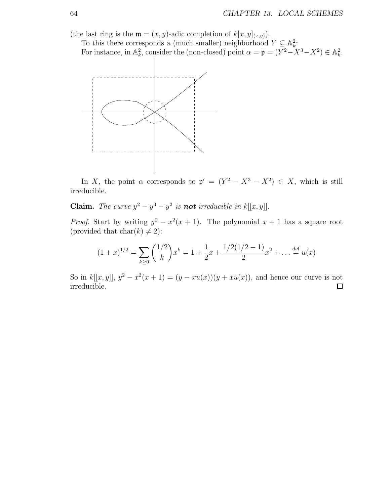(the last ring is the  $\mathfrak{m} = (x, y)$ -adic completion of  $k[x, y]_{(x, y)}$ ).

To this there corresponds a (much smaller) neighborhood  $Y \subseteq \mathbb{A}_k^2$ : For instance, in  $\mathbb{A}_k^2$ , consider the (non-closed) point  $\alpha = \mathfrak{p} = (Y^2 - X^3 - X^2) \in \mathbb{A}_k^2$ .



In X, the point  $\alpha$  corresponds to  $\mathfrak{p}' = (Y^2 - X^3 - X^2) \in X$ , which is still irreducible.

**Claim.** The curve  $y^2 - y^3 - y^2$  is **not** irreducible in  $k[[x, y]]$ .

*Proof.* Start by writing  $y^2 - x^2(x+1)$ . The polynomial  $x + 1$  has a square root (provided that  $char(k) \neq 2$ ):

$$
(1+x)^{1/2} = \sum_{k\geq 0} \binom{1/2}{k} x^k = 1 + \frac{1}{2}x + \frac{1/2(1/2-1)}{2}x^2 + \dots \stackrel{\text{def}}{=} u(x)
$$

So in  $k[[x, y]], y^2 - x^2(x+1) = (y - xu(x))(y + xu(x)),$  and hence our curve is not irreducible.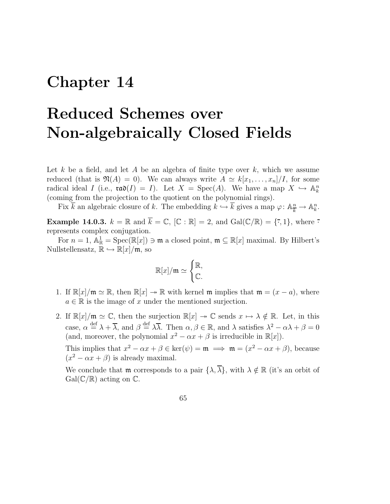# Reduced Schemes over Non-algebraically Closed Fields

Let k be a field, and let A be an algebra of finite type over  $k$ , which we assume reduced (that is  $\mathfrak{N}(A) = 0$ ). We can always write  $A \simeq k[x_1, \ldots, x_n]/I$ , for some radical ideal I (i.e.,  $\mathfrak{rad}(I) = I$ ). Let  $X = \text{Spec}(A)$ . We have a map  $X \hookrightarrow \mathbb{A}_k^n$ (coming from the projection to the quotient on the polynomial rings).

Fix  $\overline{k}$  an algebraic closure of k. The embedding  $k \hookrightarrow \overline{k}$  gives a map  $\varphi: \mathbb{A}_{\overline{k}}^n \to \mathbb{A}_{k}^n$ .

**Example 14.0.3.**  $k = \mathbb{R}$  and  $\overline{k} = \mathbb{C}$ ,  $[\mathbb{C} : \mathbb{R}] = 2$ , and  $Gal(\mathbb{C}/\mathbb{R}) = {\{\overline{\cdot}, 1\}}$ , where  $\overline{\cdot}$ represents complex conjugation.

For  $n = 1$ ,  $\mathbb{A}^1_{\mathbb{R}} = \text{Spec}(\mathbb{R}[x]) \ni \mathfrak{m}$  a closed point,  $\mathfrak{m} \subseteq \mathbb{R}[x]$  maximal. By Hilbert's Nullstellensatz,  $\mathbb{R} \hookrightarrow \mathbb{R}[x]/\mathfrak{m}$ , so

$$
\mathbb{R}[x]/\mathfrak{m} \simeq \begin{cases} \mathbb{R}, \\ \mathbb{C}. \end{cases}
$$

- 1. If  $\mathbb{R}[x]/\mathfrak{m} \simeq \mathbb{R}$ , then  $\mathbb{R}[x] \to \mathbb{R}$  with kernel  $\mathfrak{m}$  implies that  $\mathfrak{m} = (x a)$ , where  $a \in \mathbb{R}$  is the image of x under the mentioned surjection.
- 2. If  $\mathbb{R}[x]/\mathfrak{m} \simeq \mathbb{C}$ , then the surjection  $\mathbb{R}[x] \to \mathbb{C}$  sends  $x \mapsto \lambda \notin \mathbb{R}$ . Let, in this case,  $\alpha \stackrel{\text{def}}{=} \lambda + \overline{\lambda}$ , and  $\beta \stackrel{\text{def}}{=} \lambda \overline{\lambda}$ . Then  $\alpha, \beta \in \mathbb{R}$ , and  $\lambda$  satisfies  $\lambda^2 - \alpha \lambda + \beta = 0$ (and, moreover, the polynomial  $x^2 - \alpha x + \beta$  is irreducible in  $\mathbb{R}[x]$ ).

This implies that  $x^2 - \alpha x + \beta \in \text{ker}(\psi) = \mathfrak{m} \implies \mathfrak{m} = (x^2 - \alpha x + \beta)$ , because  $(x^2 - \alpha x + \beta)$  is already maximal.

We conclude that m corresponds to a pair  $\{\lambda,\overline{\lambda}\}\,$  with  $\lambda \notin \mathbb{R}$  (it's an orbit of  $Gal(\mathbb{C}/\mathbb{R})$  acting on  $\mathbb{C}$ .

65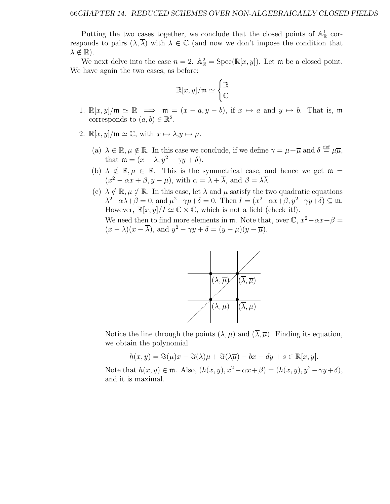Putting the two cases together, we conclude that the closed points of  $\mathbb{A}^1_{\mathbb{R}}$  corresponds to pairs  $(\lambda, \overline{\lambda})$  with  $\lambda \in \mathbb{C}$  (and now we don't impose the condition that  $\lambda \notin \mathbb{R}$ ).

We next delve into the case  $n = 2$ .  $\mathbb{A}_{\mathbb{R}}^2 = \text{Spec}(\mathbb{R}[x, y])$ . Let  $\mathfrak{m}$  be a closed point. We have again the two cases, as before:

$$
\mathbb{R}[x,y]/\mathfrak{m} \simeq \begin{cases} \mathbb{R} \\ \mathbb{C} \end{cases}
$$

- 1.  $\mathbb{R}[x, y]/\mathfrak{m} \simeq \mathbb{R} \implies \mathfrak{m} = (x a, y b)$ , if  $x \mapsto a$  and  $y \mapsto b$ . That is,  $\mathfrak{m}$ corresponds to  $(a, b) \in \mathbb{R}^2$ .
- 2.  $\mathbb{R}[x, y]/\mathfrak{m} \simeq \mathbb{C}$ , with  $x \mapsto \lambda, y \mapsto \mu$ .
	- (a)  $\lambda \in \mathbb{R}, \mu \notin \mathbb{R}$ . In this case we conclude, if we define  $\gamma = \mu + \overline{\mu}$  and  $\delta \stackrel{\text{def}}{=} \mu \overline{\mu}$ , that  $\mathfrak{m} = (x - \lambda, y^2 - \gamma y + \delta).$
	- (b)  $\lambda \notin \mathbb{R}, \mu \in \mathbb{R}$ . This is the symmetrical case, and hence we get  $\mathfrak{m} =$  $(x^2 - \alpha x + \beta, y - \mu)$ , with  $\alpha = \lambda + \overline{\lambda}$ , and  $\beta = \lambda \overline{\lambda}$ .
	- (c)  $\lambda \notin \mathbb{R}, \mu \notin \mathbb{R}$ . In this case, let  $\lambda$  and  $\mu$  satisfy the two quadratic equations  $\lambda^2-\alpha\lambda+\beta=0$ , and  $\mu^2-\gamma\mu+\delta=0$ . Then  $I=(x^2-\alpha x+\beta, y^2-\gamma y+\delta)\subseteq \mathfrak{m}$ . However,  $\mathbb{R}[x, y]/I \simeq \mathbb{C} \times \mathbb{C}$ , which is not a field (check it!).

We need then to find more elements in **m**. Note that, over  $\mathbb{C}$ ,  $x^2 - \alpha x + \beta =$  $(x - \lambda)(x - \overline{\lambda})$ , and  $y^2 - \gamma y + \delta = (y - \mu)(y - \overline{\mu})$ .



Notice the line through the points  $(\lambda, \mu)$  and  $(\overline{\lambda}, \overline{\mu})$ . Finding its equation, we obtain the polynomial

$$
h(x,y) = \Im(\mu)x - \Im(\lambda)\mu + \Im(\lambda\overline{\mu}) - bx - dy + s \in \mathbb{R}[x,y].
$$

Note that  $h(x, y) \in \mathfrak{m}$ . Also,  $(h(x, y), x^2 - \alpha x + \beta) = (h(x, y), y^2 - \gamma y + \delta)$ , and it is maximal.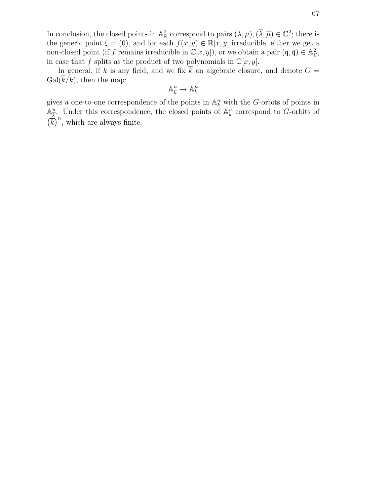In conclusion, the closed points in  $\mathbb{A}^2_{\mathbb{R}}$  correspond to pairs  $(\lambda, \mu), (\overline{\lambda}, \overline{\mu}) \in \mathbb{C}^2$ ; there is the generic point  $\xi = (0)$ , and for each  $f(x, y) \in \mathbb{R}[x, y]$  irreducible, either we get a non-closed point (if f remains irreducible in  $\mathbb{C}[x, y]$ ), or we obtain a pair  $(\mathfrak{q}, \overline{\mathfrak{q}}) \in \mathbb{A}_{\mathbb{C}}^2$ , in case that f splits as the product of two polynomials in  $\mathbb{C}[x, y]$ .

In general, if k is any field, and we fix  $\overline{k}$  an algebraic closure, and denote  $G =$  $Gal(\overline{k}/k)$ , then the map:

$$
\mathbb{A}^n_{\overline{k}} \to \mathbb{A}^n_k
$$

gives a one-to-one correspondence of the points in  $\mathbb{A}^n_k$  with the G-orbits of points in  $\mathbb{A}^n_{\overline{k}}$  $\frac{n}{k}$ . Under this correspondence, the closed points of  $\mathbb{A}_k^n$  correspond to G-orbits of  $\left(\overline{k}\right)^n$ , which are always finite.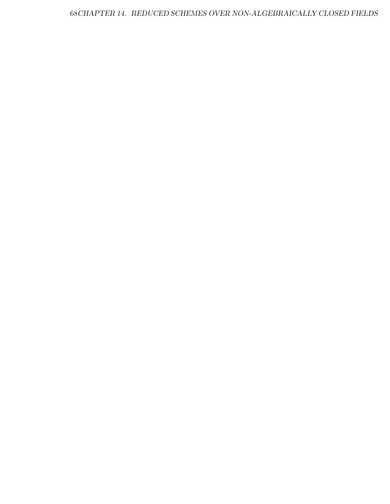CHAPTER 14. REDUCED SCHEMES OVER NON-ALGEBRAICALLY CLOSED FIELDS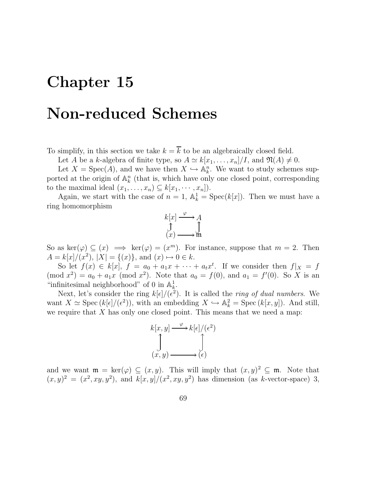# Non-reduced Schemes

To simplify, in this section we take  $k = \overline{k}$  to be an algebraically closed field.

Let A be a k-algebra of finite type, so  $A \simeq k[x_1, \ldots, x_n]/I$ , and  $\mathfrak{N}(A) \neq 0$ .

Let  $X = \text{Spec}(A)$ , and we have then  $X \hookrightarrow \mathbb{A}_k^n$ . We want to study schemes supported at the origin of  $\mathbb{A}_k^n$  (that is, which have only one closed point, corresponding to the maximal ideal  $(x_1, \ldots, x_n) \subseteq k[x_1, \cdots, x_n]$ .

Again, we start with the case of  $n = 1$ ,  $\mathbb{A}^1_k = \text{Spec}(k[x])$ . Then we must have a ring homomorphism

$$
k[x] \xrightarrow{\varphi} A
$$
  

$$
\downarrow \qquad \qquad \downarrow
$$
  

$$
(x) \longrightarrow \mathfrak{m}
$$

So as ker $(\varphi) \subseteq (x) \implies \ker(\varphi) = (x^m)$ . For instance, suppose that  $m = 2$ . Then  $A = k[x]/(x^2), |X| = \{(x)\}\text{, and } (x) \mapsto 0 \in k.$ 

So let  $f(x) \in k[x]$ ,  $f = a_0 + a_1x + \cdots + a_tx^t$ . If we consider then  $f|_X = f$  $\pmod{x^2} = a_0 + a_1 x \pmod{x^2}$ . Note that  $a_0 = f(0)$ , and  $a_1 = f'(0)$ . So X is an "infinitesimal neighborhood" of 0 in  $\mathbb{A}_k^1$ .

Next, let's consider the ring  $k[\epsilon]/(\epsilon^2)$ . It is called the *ring of dual numbers*. We want  $X \simeq \operatorname{Spec} (k[\epsilon]/(\epsilon^2))$ , with an embedding  $X \hookrightarrow \mathbb{A}_k^2 = \operatorname{Spec} (k[x, y])$ . And still, we require that  $X$  has only one closed point. This means that we need a map:

$$
k[x, y] \xrightarrow{\varphi} k[\epsilon]/(\epsilon^2)
$$
  

$$
\int \limits_{(x, y) \longrightarrow (\epsilon)}
$$

and we want  $\mathfrak{m} = \ker(\varphi) \subseteq (x, y)$ . This will imply that  $(x, y)^2 \subseteq \mathfrak{m}$ . Note that  $(x,y)^2 = (x^2, xy, y^2)$ , and  $k[x,y]/(x^2, xy, y^2)$  has dimension (as k-vector-space) 3,

69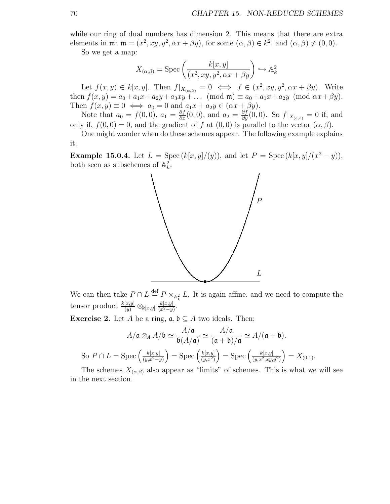while our ring of dual numbers has dimension 2. This means that there are extra elements in  $\mathfrak{m}$ :  $\mathfrak{m} = (x^2, xy, y^2, \alpha x + \beta y)$ , for some  $(\alpha, \beta) \in k^2$ , and  $(\alpha, \beta) \neq (0, 0)$ .

So we get a map:

$$
X_{(\alpha,\beta)} = \text{Spec}\left(\frac{k[x,y]}{(x^2, xy, y^2, \alpha x + \beta y)}\right) \hookrightarrow \mathbb{A}_k^2
$$

Let  $f(x, y) \in k[x, y]$ . Then  $f|_{X_{(\alpha, \beta)}} = 0 \iff f \in (x^2, xy, y^2, \alpha x + \beta y)$ . Write then  $f(x, y) = a_0 + a_1x + a_2y + a_3xy + ...$  (mod  $\mathfrak{m}$ )  $\equiv a_0 + a_1x + a_2y$  (mod  $\alpha x + \beta y$ ). Then  $f(x, y) \equiv 0 \iff a_0 = 0$  and  $a_1x + a_2y \in (\alpha x + \beta y)$ .

Note that  $a_0 = f(0,0), a_1 = \frac{\partial f}{\partial x}$  $\frac{\partial f}{\partial x}(0,0)$ , and  $a_2 = \frac{\partial f}{\partial y}$  $\frac{\partial f}{\partial y}(0,0)$ . So  $f|_{X_{(a,b)}}=0$  if, and only if,  $f(0,0) = 0$ , and the gradient of f at  $(0,0)$  is parallel to the vector  $(\alpha, \beta)$ .

One might wonder when do these schemes appear. The following example explains it.

**Example 15.0.4.** Let  $L = \text{Spec}(k[x, y]/(y))$ , and let  $P = \text{Spec}(k[x, y]/(x^2 - y))$ , both seen as subschemes of  $\mathbb{A}_k^2$ .



We can then take  $P \cap L \stackrel{\text{def}}{=} P \times_{\mathbb{A}^2_k} L$ . It is again affine, and we need to compute the tensor product  $\frac{k[x,y]}{(y)} \otimes_{k[x,y]} \frac{k[x,y]}{(x^2-y)}$  $\frac{\kappa [x,y]}{(x^2-y)}$ .

Exercise 2. Let A be a ring,  $a, b \subseteq A$  two ideals. Then:

$$
A/\mathfrak{a} \otimes_A A/\mathfrak{b} \simeq \frac{A/\mathfrak{a}}{\mathfrak{b}(A/\mathfrak{a})} \simeq \frac{A/\mathfrak{a}}{(\mathfrak{a} + \mathfrak{b})/\mathfrak{a}} \simeq A/(\mathfrak{a} + \mathfrak{b}).
$$
  
So  $P \cap L = \text{Spec}\left(\frac{k[x,y]}{(y,x^2-y)}\right) = \text{Spec}\left(\frac{k[x,y]}{(y,x^2)}\right) = \text{Spec}\left(\frac{k[x,y]}{(y,x^2,xy,y^2)}\right) = X_{(0,1)}.$ 

The schemes  $X_{(\alpha,\beta)}$  also appear as "limits" of schemes. This is what we will see in the next section.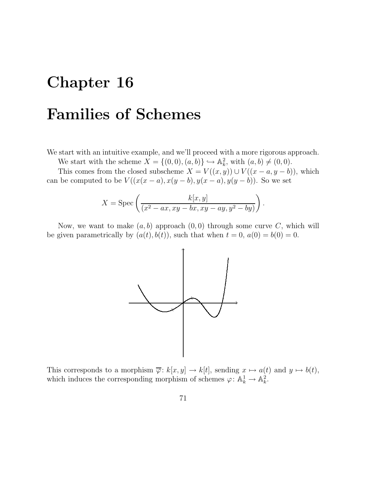# Chapter 16 Families of Schemes

We start with an intuitive example, and we'll proceed with a more rigorous approach.

We start with the scheme  $X = \{(0,0), (a, b)\} \hookrightarrow \mathbb{A}_{k}^{2}$ , with  $(a, b) \neq (0, 0)$ .

This comes from the closed subscheme  $X = V((x, y)) \cup V((x - a, y - b))$ , which can be computed to be  $V((x(x-a), x(y-b), y(x-a), y(y-b)).$  So we set

$$
X = \operatorname{Spec} \left( \frac{k[x, y]}{(x^2 - ax, xy - bx, xy - ay, y^2 - by)} \right).
$$

Now, we want to make  $(a, b)$  approach  $(0, 0)$  through some curve C, which will be given parametrically by  $(a(t), b(t))$ , such that when  $t = 0$ ,  $a(0) = b(0) = 0$ .



This corresponds to a morphism  $\overline{\varphi}$ :  $k[x, y] \rightarrow k[t]$ , sending  $x \mapsto a(t)$  and  $y \mapsto b(t)$ , which induces the corresponding morphism of schemes  $\varphi: \mathbb{A}_k^1 \to \mathbb{A}_k^2$ .

71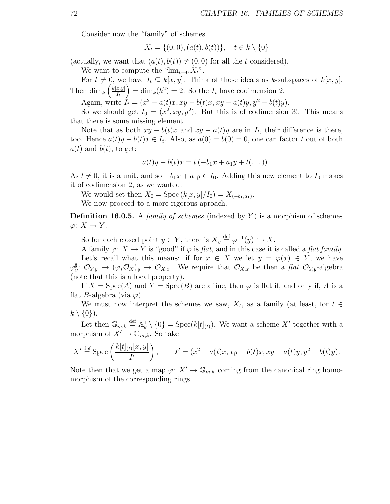Consider now the "family" of schemes

$$
X_t = \{(0,0), (a(t), b(t))\}, \quad t \in k \setminus \{0\}
$$

(actually, we want that  $(a(t), b(t)) \neq (0, 0)$  for all the t considered).

We want to compute the " $\lim_{t\to 0} X_t$ ".

For  $t \neq 0$ , we have  $I_t \subseteq k[x, y]$ . Think of those ideals as k-subspaces of  $k[x, y]$ . Then dim<sub>k</sub>  $\left(\frac{k[x,y]}{L}\right)$  $\left(\frac{x,y}{I_t}\right) = \dim_k(k^2) = 2.$  So the  $I_t$  have codimension 2.

Again, write  $I_t = (x^2 - a(t)x, xy - b(t)x, xy - a(t)y, y^2 - b(t)y).$ 

So we should get  $I_0 = (x^2, xy, y^2)$ . But this is of codimension 3!. This means that there is some missing element.

Note that as both  $xy - b(t)x$  and  $xy - a(t)y$  are in  $I_t$ , their difference is there, too. Hence  $a(t)y - b(t)x \in I_t$ . Also, as  $a(0) = b(0) = 0$ , one can factor t out of both  $a(t)$  and  $b(t)$ , to get:

$$
a(t)y - b(t)x = t(-b_1x + a_1y + t(\dots)).
$$

As  $t \neq 0$ , it is a unit, and so  $-b_1x + a_1y \in I_0$ . Adding this new element to  $I_0$  makes it of codimension 2, as we wanted.

We would set then  $X_0 = \text{Spec}(k[x, y]/I_0) = X_{(-b_1, a_1)}$ .

We now proceed to a more rigorous aproach.

**Definition 16.0.5.** A family of schemes (indexed by Y) is a morphism of schemes  $\varphi\colon X\to Y$ .

So for each closed point  $y \in Y$ , there is  $X_y \stackrel{\text{def}}{=} \varphi^{-1}(y) \hookrightarrow X$ .

A family  $\varphi: X \to Y$  is "good" if  $\varphi$  is flat, and in this case it is called a flat family. Let's recall what this means: if for  $x \in X$  we let  $y = \varphi(x) \in Y$ , we have  $\varphi_y^{\sharp} \colon \mathcal{O}_{Y,y} \to (\varphi_* \mathcal{O}_X)_y \to \mathcal{O}_{X,x}.$  We require that  $\mathcal{O}_{X,x}$  be then a flat  $\mathcal{O}_{Y,y}$ -algebra (note that this is a local property).

If  $X = \text{Spec}(A)$  and  $Y = \text{Spec}(B)$  are affine, then  $\varphi$  is flat if, and only if, A is a flat B-algebra (via  $\overline{\varphi}$ ).

We must now interpret the schemes we saw,  $X_t$ , as a family (at least, for  $t \in$  $k \setminus \{0\}$ .

Let then  $\mathbb{G}_{m,k} \stackrel{\text{def}}{=} \mathbb{A}_k^1 \setminus \{0\} = \text{Spec}(k[t]_{(t)})$ . We want a scheme X' together with a morphism of  $X' \to \mathbb{G}_{m,k}$ . So take

$$
X' \stackrel{\text{def}}{=} \text{Spec}\left(\frac{k[t]_{(t)}[x,y]}{I'}\right), \qquad I' = (x^2 - a(t)x, xy - b(t)x, xy - a(t)y, y^2 - b(t)y).
$$

Note then that we get a map  $\varphi: X' \to \mathbb{G}_{m,k}$  coming from the canonical ring homomorphism of the corresponding rings.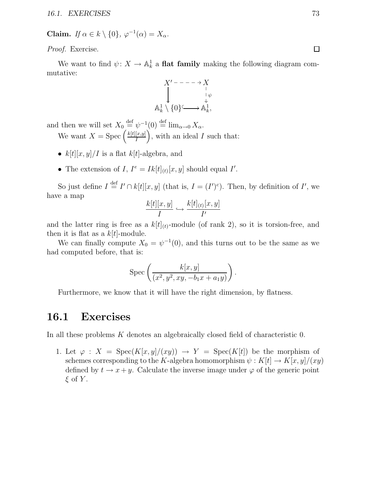**Claim.** If  $\alpha \in k \setminus \{0\}$ ,  $\varphi^{-1}(\alpha) = X_{\alpha}$ .

Proof. Exercise.

We want to find  $\psi \colon X \to \mathbb{A}^1_k$  a **flat family** making the following diagram commutative:



and then we will set  $X_0 \stackrel{\text{def}}{=} \psi^{-1}(0) \stackrel{\text{def}}{=} \lim_{\alpha \to 0} X_\alpha$ .

We want  $X = \text{Spec } \left( \frac{k[t][x,y]}{I} \right)$  $\left[\frac{[x,y]}{I}\right)$ , with an ideal I such that:

- $k[t][x, y]/I$  is a flat  $k[t]$ -algebra, and
- The extension of I,  $I^e = Ik[t]_{(t)}[x, y]$  should equal I'.

So just define  $I \stackrel{\text{def}}{=} I' \cap k[t][x, y]$  (that is,  $I = (I')^c$ ). Then, by definition of  $I'$ , we have a map

$$
\frac{k[t][x,y]}{I} \hookrightarrow \frac{k[t]_{(t)}[x,y]}{I'}
$$

and the latter ring is free as a  $k[t]_{(t)}$ -module (of rank 2), so it is torsion-free, and then it is flat as a  $k[t]$ -module.

We can finally compute  $X_0 = \psi^{-1}(0)$ , and this turns out to be the same as we had computed before, that is:

$$
\operatorname{Spec}\left(\frac{k[x,y]}{(x^2,y^2,xy,-b_1x+a_1y)}\right).
$$

Furthermore, we know that it will have the right dimension, by flatness.

## 16.1 Exercises

In all these problems K denotes an algebraically closed field of characteristic 0.

1. Let  $\varphi : X = \text{Spec}(K[x, y]/(xy)) \rightarrow Y = \text{Spec}(K[t])$  be the morphism of schemes corresponding to the K-algebra homomorphism  $\psi: K[t] \to K[x, y]/(xy)$ defined by  $t \to x + y$ . Calculate the inverse image under  $\varphi$  of the generic point  $\xi$  of Y.

 $\Box$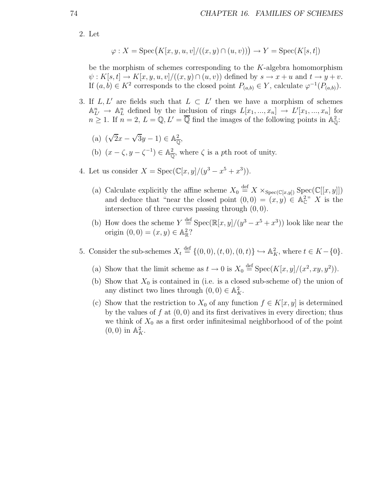2. Let

$$
\varphi: X = \operatorname{Spec} (K[x, y, u, v]/((x, y) \cap (u, v))) \to Y = \operatorname{Spec} (K[s, t])
$$

be the morphism of schemes corresponding to the  $K$ -algebra homomorphism  $\psi: K[s, t] \to K[x, y, u, v]/((x, y) \cap (u, v))$  defined by  $s \to x + u$  and  $t \to y + v$ . If  $(a, b) \in K^2$  corresponds to the closed point  $P_{(a,b)} \in Y$ , calculate  $\varphi^{-1}(P_{(a,b)})$ .

- 3. If  $L, L'$  are fields such that  $L \subset L'$  then we have a morphism of schemes  $\mathbb{A}_{L'}^n \to \mathbb{A}_L^n$  defined by the inclusion of rings  $L[x_1, ..., x_n] \to L'[x_1, ..., x_n]$  for  $n \geq 1$ . If  $n = 2$ ,  $L = \mathbb{Q}$ ,  $L' = \overline{\mathbb{Q}}$  find the images of the following points in  $\mathbb{A}_{\mathbb{Q}}^2$ .
	- (a)  $(\sqrt{2}x \sqrt{3}y 1) \in \mathbb{A}_{\overline{Q}}^2$  $\frac{2}{\mathbb{Q}},$
	- (b)  $(x \zeta, y \zeta^{-1}) \in \mathbb{A}_{\overline{\mathbb{Q}}}^2$  $\frac{2}{\mathbb{Q}}$ , where  $\zeta$  is a pth root of unity.

4. Let us consider  $X = \text{Spec}(\mathbb{C}[x, y]/(y^3 - x^5 + x^3)).$ 

- (a) Calculate explicitly the affine scheme  $X_0 \stackrel{\text{def}}{=} X \times_{\text{Spec}(\mathbb{C}[x,y])} \text{Spec}(\mathbb{C}[[x,y]])$ and deduce that "near the closed point  $(0,0) = (x, y) \in \mathbb{A}_{\mathbb{C}}^{2}$ " X is the intersection of three curves passing through  $(0, 0)$ .
- (b) How does the scheme  $Y \stackrel{\text{def}}{=} \text{Spec}(\mathbb{R}[x,y]/(y^3 x^5 + x^3))$  look like near the origin  $(0, 0) = (x, y) \in \mathbb{A}_{\mathbb{R}}^2$ ?
- 5. Consider the sub-schemes  $X_t \stackrel{\text{def}}{=} \{(0,0), (t, 0), (0, t)\} \hookrightarrow \mathbb{A}_K^2$ , where  $t \in K \{0\}$ .
	- (a) Show that the limit scheme as  $t \to 0$  is  $X_0 \stackrel{\text{def}}{=} \text{Spec}(K[x, y]/(x^2, xy, y^2)).$
	- (b) Show that  $X_0$  is contained in (i.e. is a closed sub-scheme of) the union of any distinct two lines through  $(0, 0) \in \mathbb{A}_{K}^{2}$ .
	- (c) Show that the restriction to  $X_0$  of any function  $f \in K[x, y]$  is determined by the values of  $f$  at  $(0, 0)$  and its first derivatives in every direction; thus we think of  $X_0$  as a first order infinitesimal neighborhood of of the point  $(0, 0)$  in  $\mathbb{A}_{K}^{2}$ .